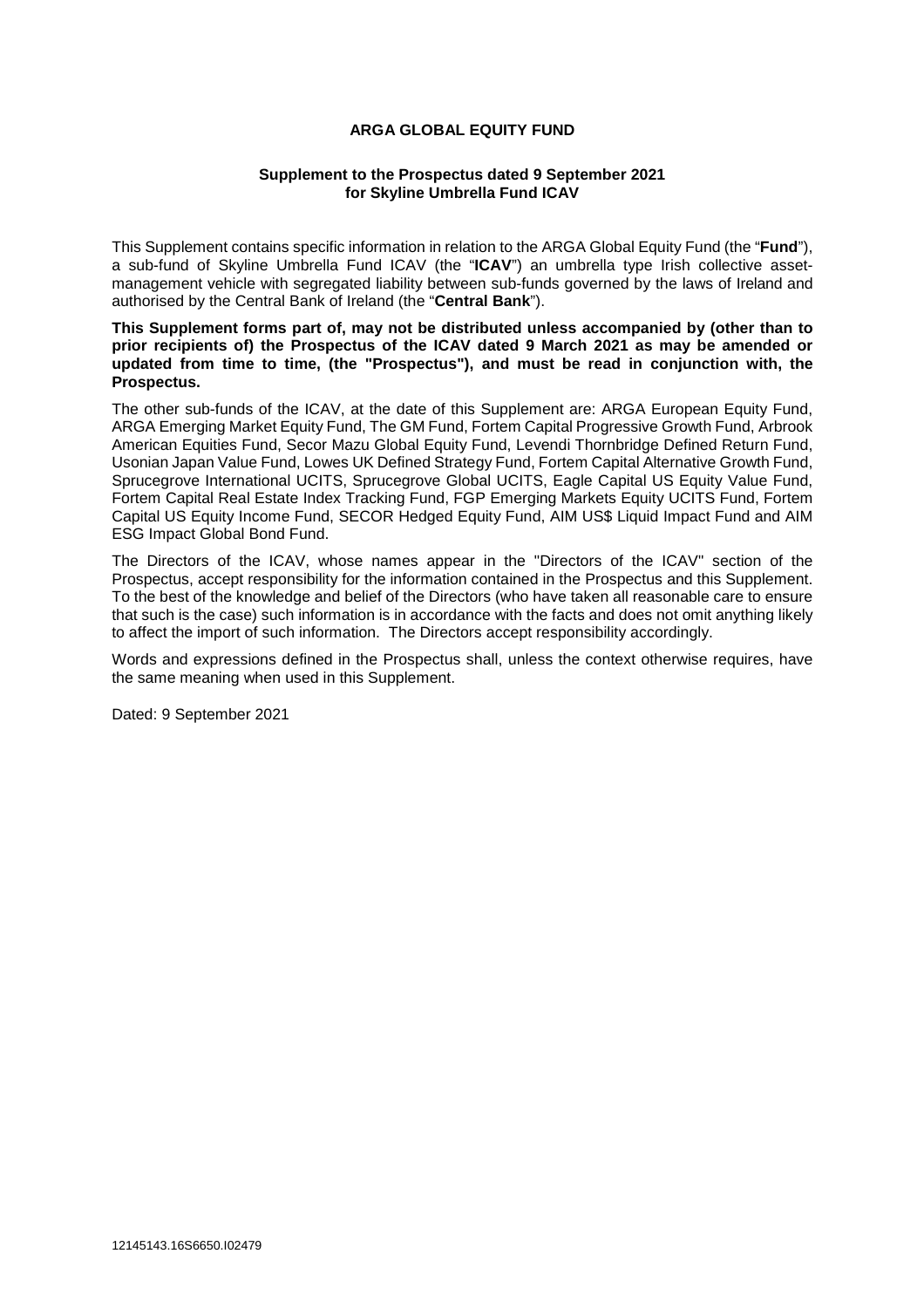# **ARGA GLOBAL EQUITY FUND**

## **Supplement to the Prospectus dated 9 September 2021 for Skyline Umbrella Fund ICAV**

This Supplement contains specific information in relation to the ARGA Global Equity Fund (the "**Fund**"), a sub-fund of Skyline Umbrella Fund ICAV (the "**ICAV**") an umbrella type Irish collective assetmanagement vehicle with segregated liability between sub-funds governed by the laws of Ireland and authorised by the Central Bank of Ireland (the "**Central Bank**").

**This Supplement forms part of, may not be distributed unless accompanied by (other than to prior recipients of) the Prospectus of the ICAV dated 9 March 2021 as may be amended or updated from time to time, (the "Prospectus"), and must be read in conjunction with, the Prospectus.** 

The other sub-funds of the ICAV, at the date of this Supplement are: ARGA European Equity Fund, ARGA Emerging Market Equity Fund, The GM Fund, Fortem Capital Progressive Growth Fund, Arbrook American Equities Fund, Secor Mazu Global Equity Fund, Levendi Thornbridge Defined Return Fund, Usonian Japan Value Fund, Lowes UK Defined Strategy Fund, Fortem Capital Alternative Growth Fund, Sprucegrove International UCITS, Sprucegrove Global UCITS, Eagle Capital US Equity Value Fund, Fortem Capital Real Estate Index Tracking Fund, FGP Emerging Markets Equity UCITS Fund, Fortem Capital US Equity Income Fund, SECOR Hedged Equity Fund, AIM US\$ Liquid Impact Fund and AIM ESG Impact Global Bond Fund.

The Directors of the ICAV, whose names appear in the "Directors of the ICAV" section of the Prospectus, accept responsibility for the information contained in the Prospectus and this Supplement. To the best of the knowledge and belief of the Directors (who have taken all reasonable care to ensure that such is the case) such information is in accordance with the facts and does not omit anything likely to affect the import of such information. The Directors accept responsibility accordingly.

Words and expressions defined in the Prospectus shall, unless the context otherwise requires, have the same meaning when used in this Supplement.

Dated: 9 September 2021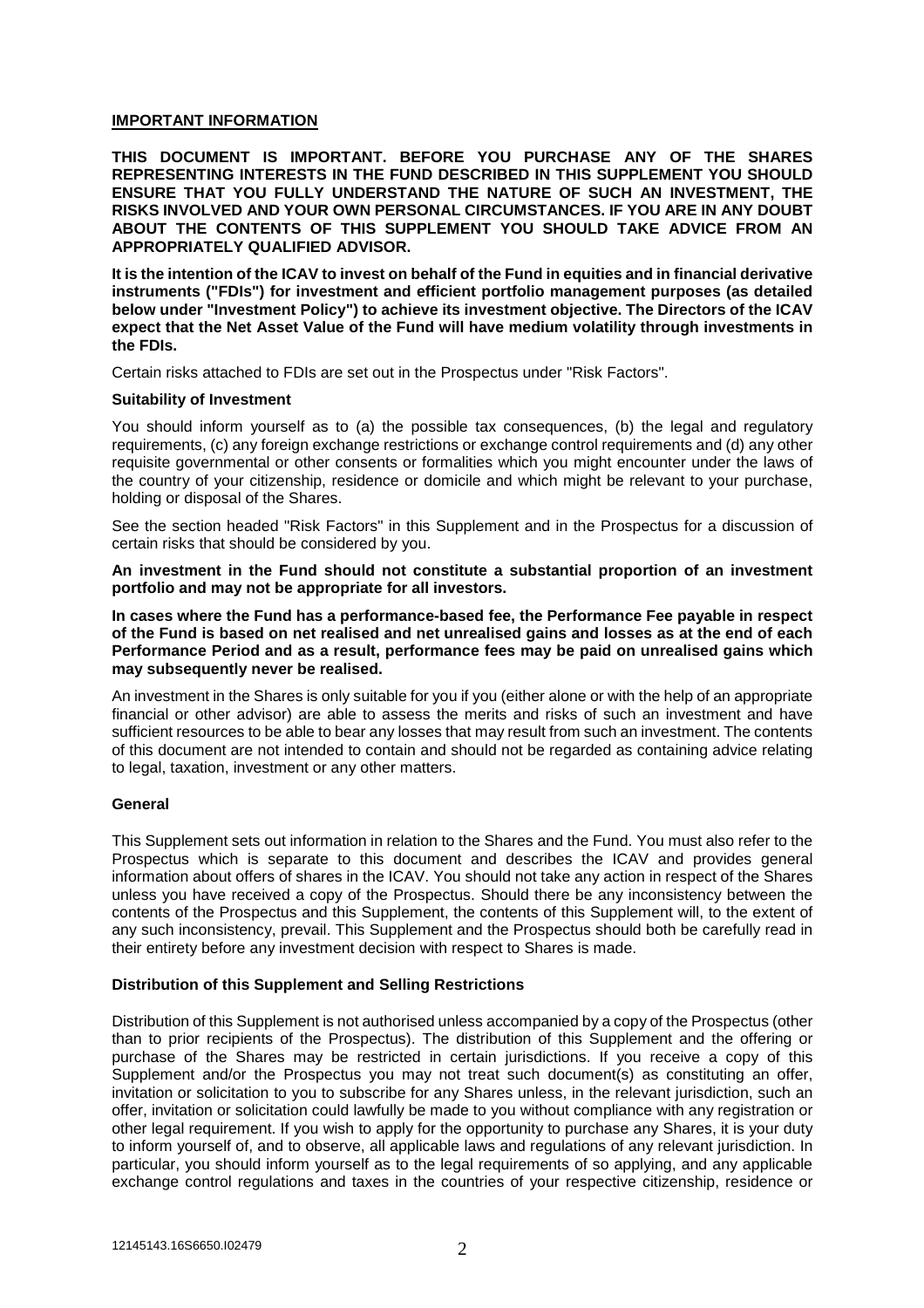## **IMPORTANT INFORMATION**

**THIS DOCUMENT IS IMPORTANT. BEFORE YOU PURCHASE ANY OF THE SHARES REPRESENTING INTERESTS IN THE FUND DESCRIBED IN THIS SUPPLEMENT YOU SHOULD ENSURE THAT YOU FULLY UNDERSTAND THE NATURE OF SUCH AN INVESTMENT, THE RISKS INVOLVED AND YOUR OWN PERSONAL CIRCUMSTANCES. IF YOU ARE IN ANY DOUBT ABOUT THE CONTENTS OF THIS SUPPLEMENT YOU SHOULD TAKE ADVICE FROM AN APPROPRIATELY QUALIFIED ADVISOR.** 

**It is the intention of the ICAV to invest on behalf of the Fund in equities and in financial derivative instruments ("FDIs") for investment and efficient portfolio management purposes (as detailed below under "Investment Policy") to achieve its investment objective. The Directors of the ICAV expect that the Net Asset Value of the Fund will have medium volatility through investments in the FDIs.** 

Certain risks attached to FDIs are set out in the Prospectus under "Risk Factors".

## **Suitability of Investment**

You should inform yourself as to (a) the possible tax consequences, (b) the legal and regulatory requirements, (c) any foreign exchange restrictions or exchange control requirements and (d) any other requisite governmental or other consents or formalities which you might encounter under the laws of the country of your citizenship, residence or domicile and which might be relevant to your purchase, holding or disposal of the Shares.

See the section headed "Risk Factors" in this Supplement and in the Prospectus for a discussion of certain risks that should be considered by you.

**An investment in the Fund should not constitute a substantial proportion of an investment portfolio and may not be appropriate for all investors.** 

**In cases where the Fund has a performance-based fee, the Performance Fee payable in respect of the Fund is based on net realised and net unrealised gains and losses as at the end of each Performance Period and as a result, performance fees may be paid on unrealised gains which may subsequently never be realised.** 

An investment in the Shares is only suitable for you if you (either alone or with the help of an appropriate financial or other advisor) are able to assess the merits and risks of such an investment and have sufficient resources to be able to bear any losses that may result from such an investment. The contents of this document are not intended to contain and should not be regarded as containing advice relating to legal, taxation, investment or any other matters.

## **General**

This Supplement sets out information in relation to the Shares and the Fund. You must also refer to the Prospectus which is separate to this document and describes the ICAV and provides general information about offers of shares in the ICAV. You should not take any action in respect of the Shares unless you have received a copy of the Prospectus. Should there be any inconsistency between the contents of the Prospectus and this Supplement, the contents of this Supplement will, to the extent of any such inconsistency, prevail. This Supplement and the Prospectus should both be carefully read in their entirety before any investment decision with respect to Shares is made.

## **Distribution of this Supplement and Selling Restrictions**

Distribution of this Supplement is not authorised unless accompanied by a copy of the Prospectus (other than to prior recipients of the Prospectus). The distribution of this Supplement and the offering or purchase of the Shares may be restricted in certain jurisdictions. If you receive a copy of this Supplement and/or the Prospectus you may not treat such document(s) as constituting an offer, invitation or solicitation to you to subscribe for any Shares unless, in the relevant jurisdiction, such an offer, invitation or solicitation could lawfully be made to you without compliance with any registration or other legal requirement. If you wish to apply for the opportunity to purchase any Shares, it is your duty to inform yourself of, and to observe, all applicable laws and regulations of any relevant jurisdiction. In particular, you should inform yourself as to the legal requirements of so applying, and any applicable exchange control regulations and taxes in the countries of your respective citizenship, residence or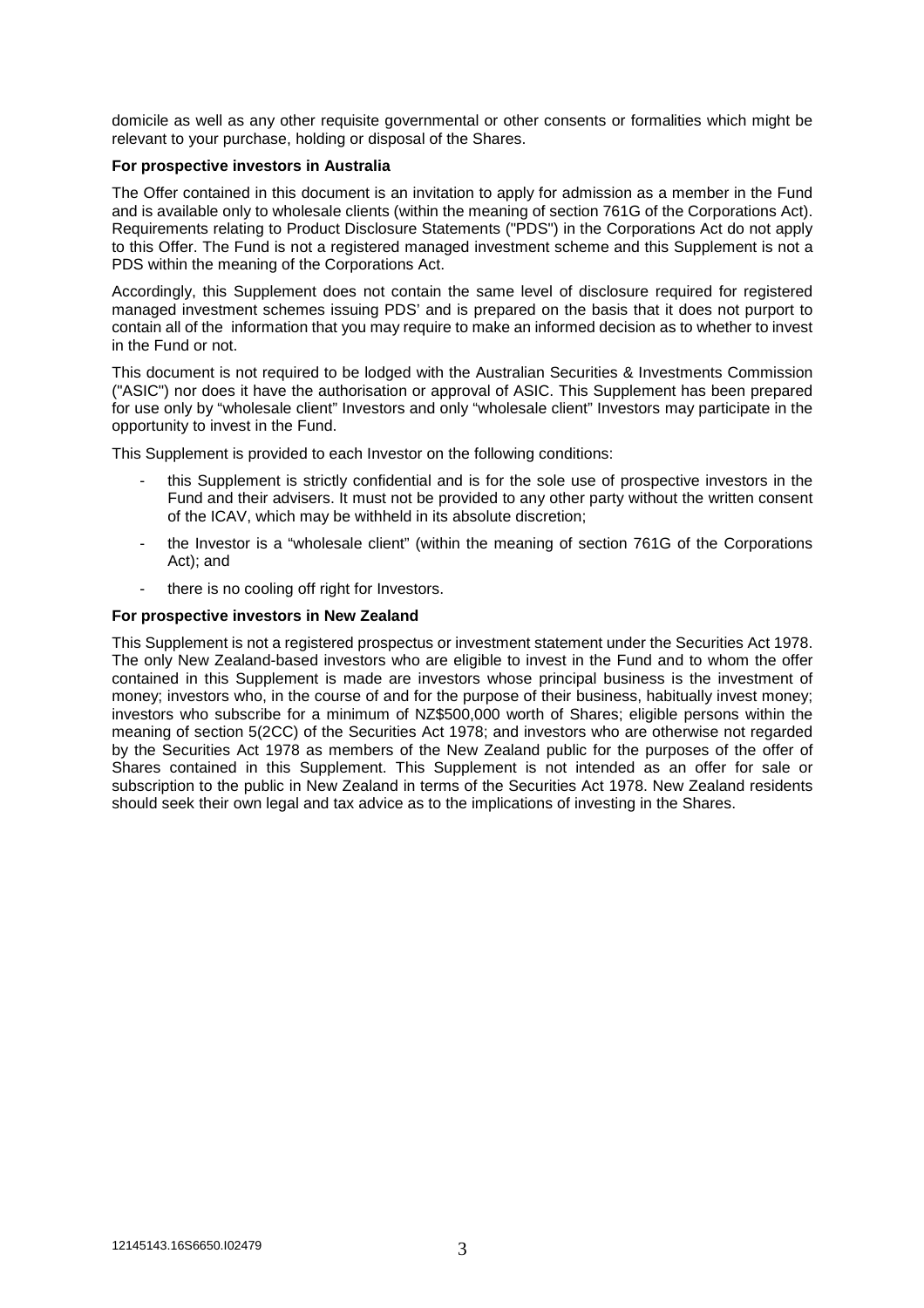domicile as well as any other requisite governmental or other consents or formalities which might be relevant to your purchase, holding or disposal of the Shares.

## **For prospective investors in Australia**

The Offer contained in this document is an invitation to apply for admission as a member in the Fund and is available only to wholesale clients (within the meaning of section 761G of the Corporations Act). Requirements relating to Product Disclosure Statements ("PDS") in the Corporations Act do not apply to this Offer. The Fund is not a registered managed investment scheme and this Supplement is not a PDS within the meaning of the Corporations Act.

Accordingly, this Supplement does not contain the same level of disclosure required for registered managed investment schemes issuing PDS' and is prepared on the basis that it does not purport to contain all of the information that you may require to make an informed decision as to whether to invest in the Fund or not.

This document is not required to be lodged with the Australian Securities & Investments Commission ("ASIC") nor does it have the authorisation or approval of ASIC. This Supplement has been prepared for use only by "wholesale client" Investors and only "wholesale client" Investors may participate in the opportunity to invest in the Fund.

This Supplement is provided to each Investor on the following conditions:

- this Supplement is strictly confidential and is for the sole use of prospective investors in the Fund and their advisers. It must not be provided to any other party without the written consent of the ICAV, which may be withheld in its absolute discretion;
- the Investor is a "wholesale client" (within the meaning of section 761G of the Corporations Act); and
- there is no cooling off right for Investors.

#### **For prospective investors in New Zealand**

This Supplement is not a registered prospectus or investment statement under the Securities Act 1978. The only New Zealand-based investors who are eligible to invest in the Fund and to whom the offer contained in this Supplement is made are investors whose principal business is the investment of money; investors who, in the course of and for the purpose of their business, habitually invest money; investors who subscribe for a minimum of NZ\$500,000 worth of Shares; eligible persons within the meaning of section 5(2CC) of the Securities Act 1978; and investors who are otherwise not regarded by the Securities Act 1978 as members of the New Zealand public for the purposes of the offer of Shares contained in this Supplement. This Supplement is not intended as an offer for sale or subscription to the public in New Zealand in terms of the Securities Act 1978. New Zealand residents should seek their own legal and tax advice as to the implications of investing in the Shares.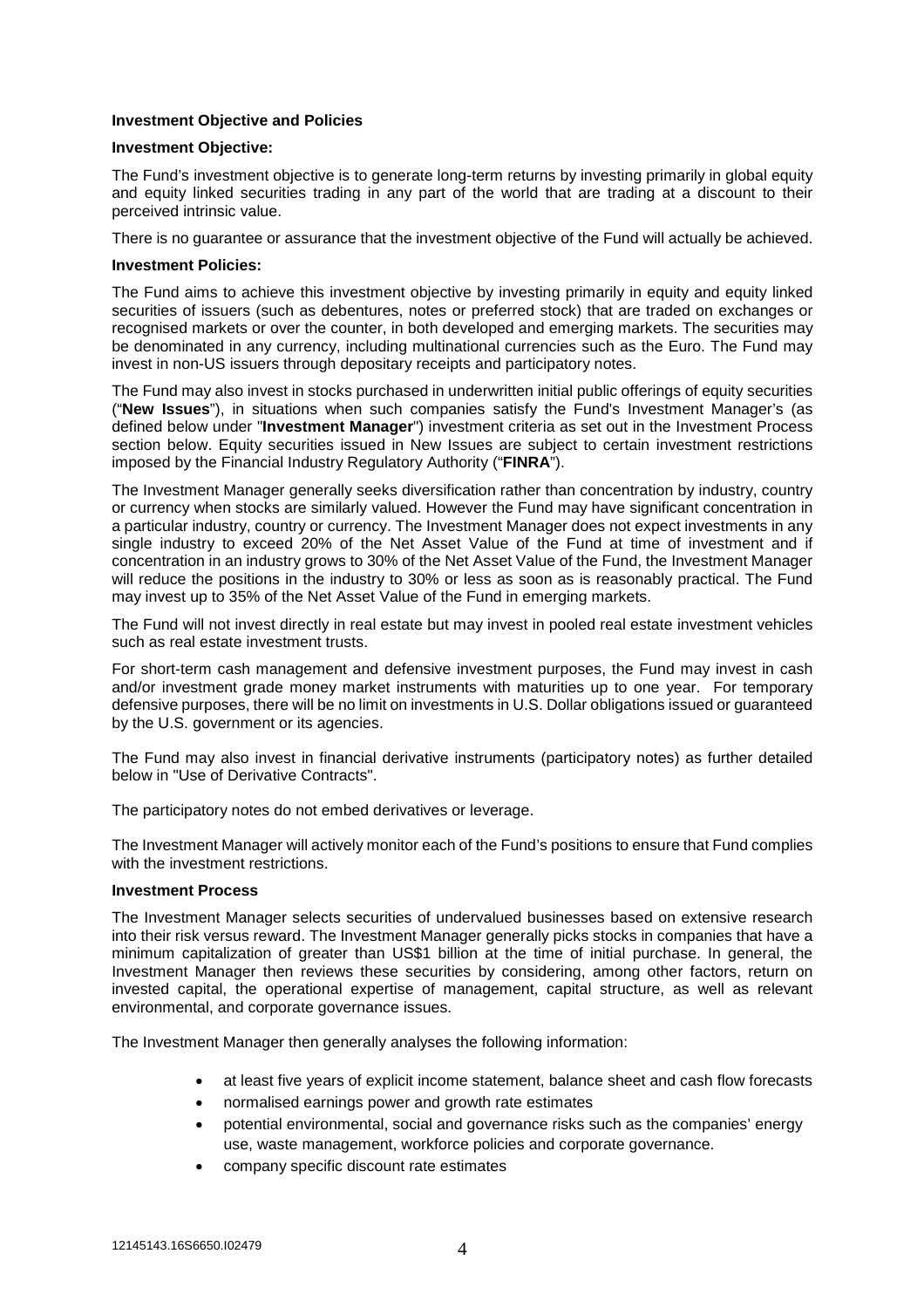# **Investment Objective and Policies**

#### **Investment Objective:**

The Fund's investment objective is to generate long-term returns by investing primarily in global equity and equity linked securities trading in any part of the world that are trading at a discount to their perceived intrinsic value.

There is no guarantee or assurance that the investment objective of the Fund will actually be achieved.

### **Investment Policies:**

The Fund aims to achieve this investment objective by investing primarily in equity and equity linked securities of issuers (such as debentures, notes or preferred stock) that are traded on exchanges or recognised markets or over the counter, in both developed and emerging markets. The securities may be denominated in any currency, including multinational currencies such as the Euro. The Fund may invest in non-US issuers through depositary receipts and participatory notes.

The Fund may also invest in stocks purchased in underwritten initial public offerings of equity securities ("**New Issues**"), in situations when such companies satisfy the Fund's Investment Manager's (as defined below under "**Investment Manager**") investment criteria as set out in the Investment Process section below. Equity securities issued in New Issues are subject to certain investment restrictions imposed by the Financial Industry Regulatory Authority ("**FINRA**").

The Investment Manager generally seeks diversification rather than concentration by industry, country or currency when stocks are similarly valued. However the Fund may have significant concentration in a particular industry, country or currency. The Investment Manager does not expect investments in any single industry to exceed 20% of the Net Asset Value of the Fund at time of investment and if concentration in an industry grows to 30% of the Net Asset Value of the Fund, the Investment Manager will reduce the positions in the industry to 30% or less as soon as is reasonably practical. The Fund may invest up to 35% of the Net Asset Value of the Fund in emerging markets.

The Fund will not invest directly in real estate but may invest in pooled real estate investment vehicles such as real estate investment trusts.

For short-term cash management and defensive investment purposes, the Fund may invest in cash and/or investment grade money market instruments with maturities up to one year. For temporary defensive purposes, there will be no limit on investments in U.S. Dollar obligations issued or guaranteed by the U.S. government or its agencies.

The Fund may also invest in financial derivative instruments (participatory notes) as further detailed below in "Use of Derivative Contracts".

The participatory notes do not embed derivatives or leverage.

The Investment Manager will actively monitor each of the Fund's positions to ensure that Fund complies with the investment restrictions.

## **Investment Process**

The Investment Manager selects securities of undervalued businesses based on extensive research into their risk versus reward. The Investment Manager generally picks stocks in companies that have a minimum capitalization of greater than US\$1 billion at the time of initial purchase. In general, the Investment Manager then reviews these securities by considering, among other factors, return on invested capital, the operational expertise of management, capital structure, as well as relevant environmental, and corporate governance issues.

The Investment Manager then generally analyses the following information:

- at least five years of explicit income statement, balance sheet and cash flow forecasts
- normalised earnings power and growth rate estimates
- potential environmental, social and governance risks such as the companies' energy use, waste management, workforce policies and corporate governance.
- company specific discount rate estimates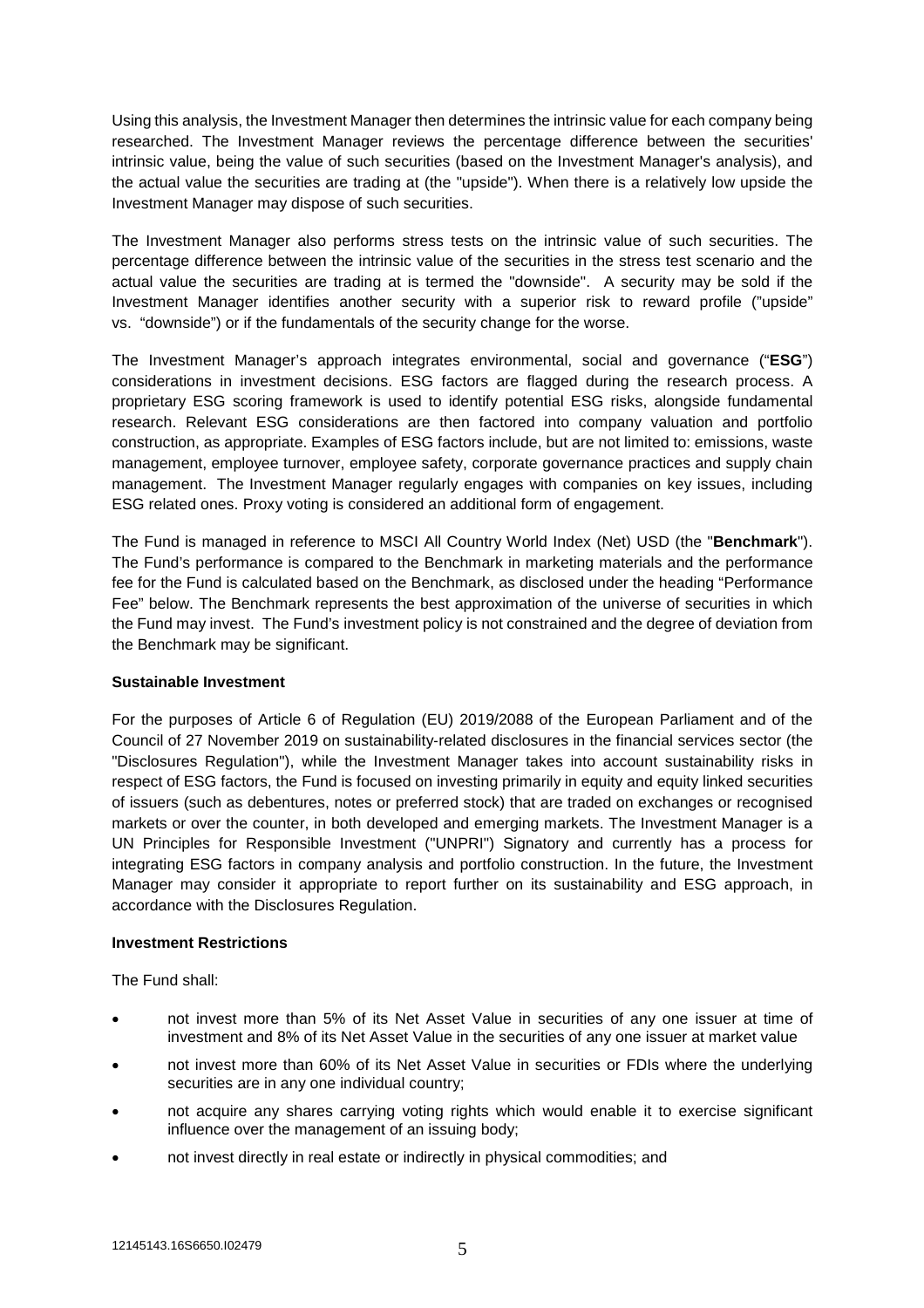Using this analysis, the Investment Manager then determines the intrinsic value for each company being researched. The Investment Manager reviews the percentage difference between the securities' intrinsic value, being the value of such securities (based on the Investment Manager's analysis), and the actual value the securities are trading at (the "upside"). When there is a relatively low upside the Investment Manager may dispose of such securities.

The Investment Manager also performs stress tests on the intrinsic value of such securities. The percentage difference between the intrinsic value of the securities in the stress test scenario and the actual value the securities are trading at is termed the "downside". A security may be sold if the Investment Manager identifies another security with a superior risk to reward profile ("upside" vs. "downside") or if the fundamentals of the security change for the worse.

The Investment Manager's approach integrates environmental, social and governance ("**ESG**") considerations in investment decisions. ESG factors are flagged during the research process. A proprietary ESG scoring framework is used to identify potential ESG risks, alongside fundamental research. Relevant ESG considerations are then factored into company valuation and portfolio construction, as appropriate. Examples of ESG factors include, but are not limited to: emissions, waste management, employee turnover, employee safety, corporate governance practices and supply chain management. The Investment Manager regularly engages with companies on key issues, including ESG related ones. Proxy voting is considered an additional form of engagement.

The Fund is managed in reference to MSCI All Country World Index (Net) USD (the "**Benchmark**"). The Fund's performance is compared to the Benchmark in marketing materials and the performance fee for the Fund is calculated based on the Benchmark, as disclosed under the heading "Performance Fee" below. The Benchmark represents the best approximation of the universe of securities in which the Fund may invest. The Fund's investment policy is not constrained and the degree of deviation from the Benchmark may be significant.

# **Sustainable Investment**

For the purposes of Article 6 of Regulation (EU) 2019/2088 of the European Parliament and of the Council of 27 November 2019 on sustainability‐related disclosures in the financial services sector (the "Disclosures Regulation"), while the Investment Manager takes into account sustainability risks in respect of ESG factors, the Fund is focused on investing primarily in equity and equity linked securities of issuers (such as debentures, notes or preferred stock) that are traded on exchanges or recognised markets or over the counter, in both developed and emerging markets. The Investment Manager is a UN Principles for Responsible Investment ("UNPRI") Signatory and currently has a process for integrating ESG factors in company analysis and portfolio construction. In the future, the Investment Manager may consider it appropriate to report further on its sustainability and ESG approach, in accordance with the Disclosures Regulation.

## **Investment Restrictions**

The Fund shall:

- not invest more than 5% of its Net Asset Value in securities of any one issuer at time of investment and 8% of its Net Asset Value in the securities of any one issuer at market value
- not invest more than 60% of its Net Asset Value in securities or FDIs where the underlying securities are in any one individual country;
- not acquire any shares carrying voting rights which would enable it to exercise significant influence over the management of an issuing body;
- not invest directly in real estate or indirectly in physical commodities; and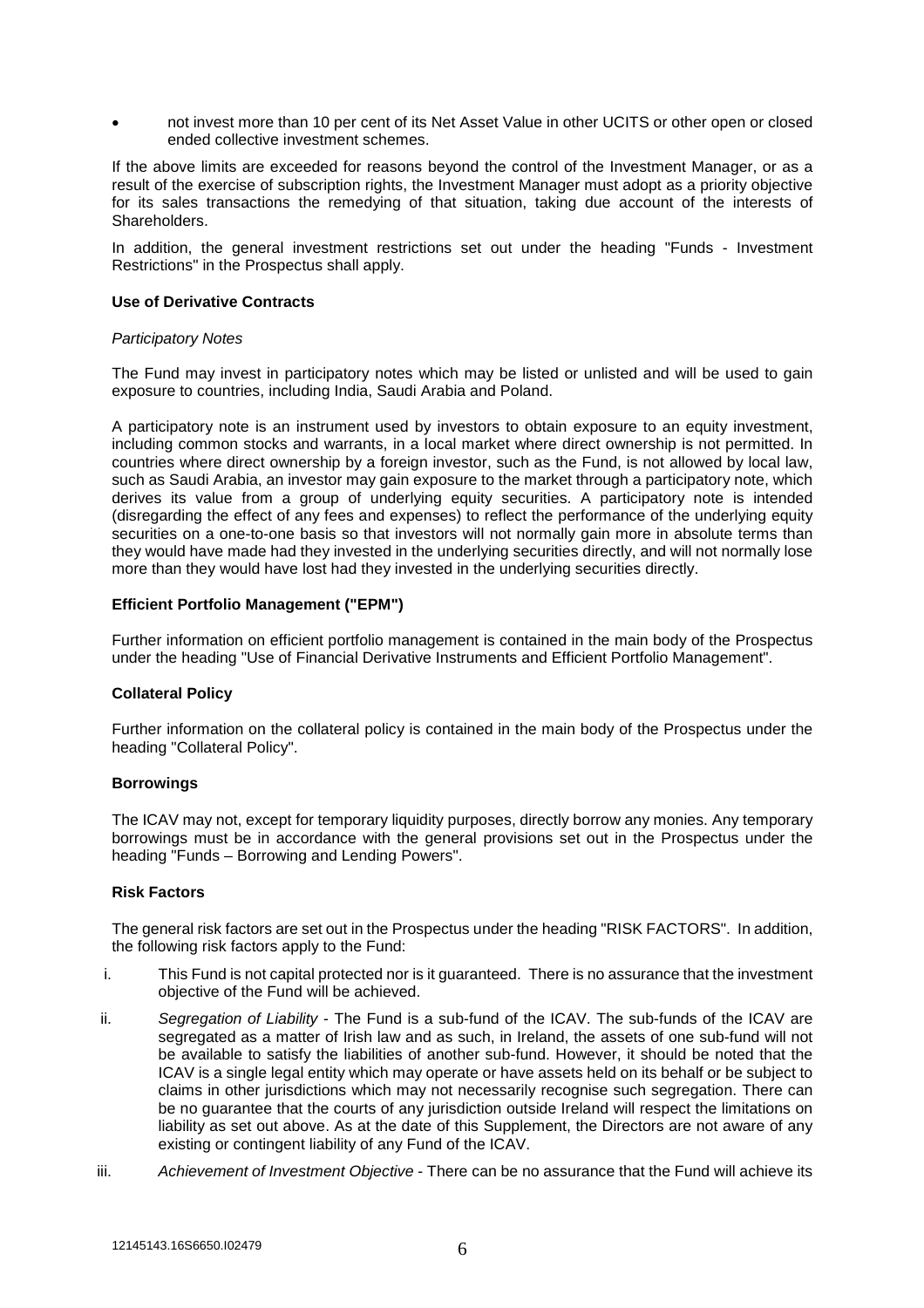• not invest more than 10 per cent of its Net Asset Value in other UCITS or other open or closed ended collective investment schemes.

If the above limits are exceeded for reasons beyond the control of the Investment Manager, or as a result of the exercise of subscription rights, the Investment Manager must adopt as a priority objective for its sales transactions the remedying of that situation, taking due account of the interests of Shareholders.

In addition, the general investment restrictions set out under the heading "Funds - Investment Restrictions" in the Prospectus shall apply.

# **Use of Derivative Contracts**

## *Participatory Notes*

The Fund may invest in participatory notes which may be listed or unlisted and will be used to gain exposure to countries, including India, Saudi Arabia and Poland.

A participatory note is an instrument used by investors to obtain exposure to an equity investment, including common stocks and warrants, in a local market where direct ownership is not permitted. In countries where direct ownership by a foreign investor, such as the Fund, is not allowed by local law, such as Saudi Arabia, an investor may gain exposure to the market through a participatory note, which derives its value from a group of underlying equity securities. A participatory note is intended (disregarding the effect of any fees and expenses) to reflect the performance of the underlying equity securities on a one-to-one basis so that investors will not normally gain more in absolute terms than they would have made had they invested in the underlying securities directly, and will not normally lose more than they would have lost had they invested in the underlying securities directly.

# **Efficient Portfolio Management ("EPM")**

Further information on efficient portfolio management is contained in the main body of the Prospectus under the heading "Use of Financial Derivative Instruments and Efficient Portfolio Management".

# **Collateral Policy**

Further information on the collateral policy is contained in the main body of the Prospectus under the heading "Collateral Policy".

## **Borrowings**

The ICAV may not, except for temporary liquidity purposes, directly borrow any monies. Any temporary borrowings must be in accordance with the general provisions set out in the Prospectus under the heading "Funds – Borrowing and Lending Powers".

## **Risk Factors**

The general risk factors are set out in the Prospectus under the heading "RISK FACTORS". In addition, the following risk factors apply to the Fund:

- i. This Fund is not capital protected nor is it guaranteed. There is no assurance that the investment objective of the Fund will be achieved.
- ii. *Segregation of Liability* The Fund is a sub-fund of the ICAV. The sub-funds of the ICAV are segregated as a matter of Irish law and as such, in Ireland, the assets of one sub-fund will not be available to satisfy the liabilities of another sub-fund. However, it should be noted that the ICAV is a single legal entity which may operate or have assets held on its behalf or be subject to claims in other jurisdictions which may not necessarily recognise such segregation. There can be no guarantee that the courts of any jurisdiction outside Ireland will respect the limitations on liability as set out above. As at the date of this Supplement, the Directors are not aware of any existing or contingent liability of any Fund of the ICAV.
- iii. *Achievement of Investment Objective* There can be no assurance that the Fund will achieve its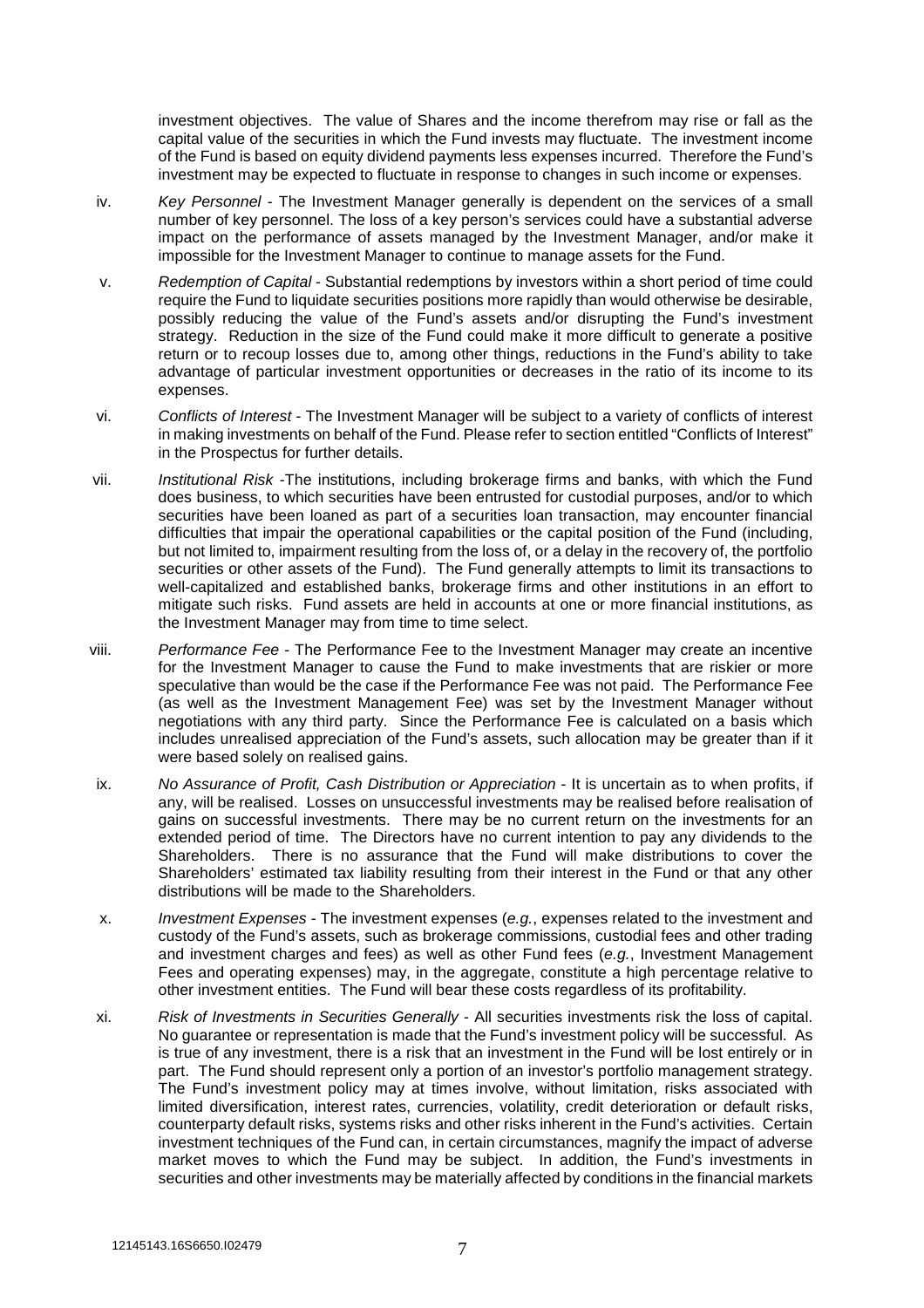investment objectives. The value of Shares and the income therefrom may rise or fall as the capital value of the securities in which the Fund invests may fluctuate. The investment income of the Fund is based on equity dividend payments less expenses incurred. Therefore the Fund's investment may be expected to fluctuate in response to changes in such income or expenses.

- iv. *Key Personnel* The Investment Manager generally is dependent on the services of a small number of key personnel. The loss of a key person's services could have a substantial adverse impact on the performance of assets managed by the Investment Manager, and/or make it impossible for the Investment Manager to continue to manage assets for the Fund.
- v. *Redemption of Capital* Substantial redemptions by investors within a short period of time could require the Fund to liquidate securities positions more rapidly than would otherwise be desirable, possibly reducing the value of the Fund's assets and/or disrupting the Fund's investment strategy. Reduction in the size of the Fund could make it more difficult to generate a positive return or to recoup losses due to, among other things, reductions in the Fund's ability to take advantage of particular investment opportunities or decreases in the ratio of its income to its expenses.
- vi. *Conflicts of Interest*  The Investment Manager will be subject to a variety of conflicts of interest in making investments on behalf of the Fund. Please refer to section entitled "Conflicts of Interest" in the Prospectus for further details.
- vii. *Institutional Risk* -The institutions, including brokerage firms and banks, with which the Fund does business, to which securities have been entrusted for custodial purposes, and/or to which securities have been loaned as part of a securities loan transaction, may encounter financial difficulties that impair the operational capabilities or the capital position of the Fund (including, but not limited to, impairment resulting from the loss of, or a delay in the recovery of, the portfolio securities or other assets of the Fund). The Fund generally attempts to limit its transactions to well-capitalized and established banks, brokerage firms and other institutions in an effort to mitigate such risks. Fund assets are held in accounts at one or more financial institutions, as the Investment Manager may from time to time select.
- viii. *Performance Fee* The Performance Fee to the Investment Manager may create an incentive for the Investment Manager to cause the Fund to make investments that are riskier or more speculative than would be the case if the Performance Fee was not paid. The Performance Fee (as well as the Investment Management Fee) was set by the Investment Manager without negotiations with any third party. Since the Performance Fee is calculated on a basis which includes unrealised appreciation of the Fund's assets, such allocation may be greater than if it were based solely on realised gains.
- ix. *No Assurance of Profit, Cash Distribution or Appreciation* It is uncertain as to when profits, if any, will be realised. Losses on unsuccessful investments may be realised before realisation of gains on successful investments. There may be no current return on the investments for an extended period of time. The Directors have no current intention to pay any dividends to the Shareholders. There is no assurance that the Fund will make distributions to cover the Shareholders' estimated tax liability resulting from their interest in the Fund or that any other distributions will be made to the Shareholders.
- x. *Investment Expenses* The investment expenses (*e.g.*, expenses related to the investment and custody of the Fund's assets, such as brokerage commissions, custodial fees and other trading and investment charges and fees) as well as other Fund fees (*e.g.*, Investment Management Fees and operating expenses) may, in the aggregate, constitute a high percentage relative to other investment entities. The Fund will bear these costs regardless of its profitability.
- xi. *Risk of Investments in Securities Generally* All securities investments risk the loss of capital. No guarantee or representation is made that the Fund's investment policy will be successful. As is true of any investment, there is a risk that an investment in the Fund will be lost entirely or in part. The Fund should represent only a portion of an investor's portfolio management strategy. The Fund's investment policy may at times involve, without limitation, risks associated with limited diversification, interest rates, currencies, volatility, credit deterioration or default risks, counterparty default risks, systems risks and other risks inherent in the Fund's activities. Certain investment techniques of the Fund can, in certain circumstances, magnify the impact of adverse market moves to which the Fund may be subject. In addition, the Fund's investments in securities and other investments may be materially affected by conditions in the financial markets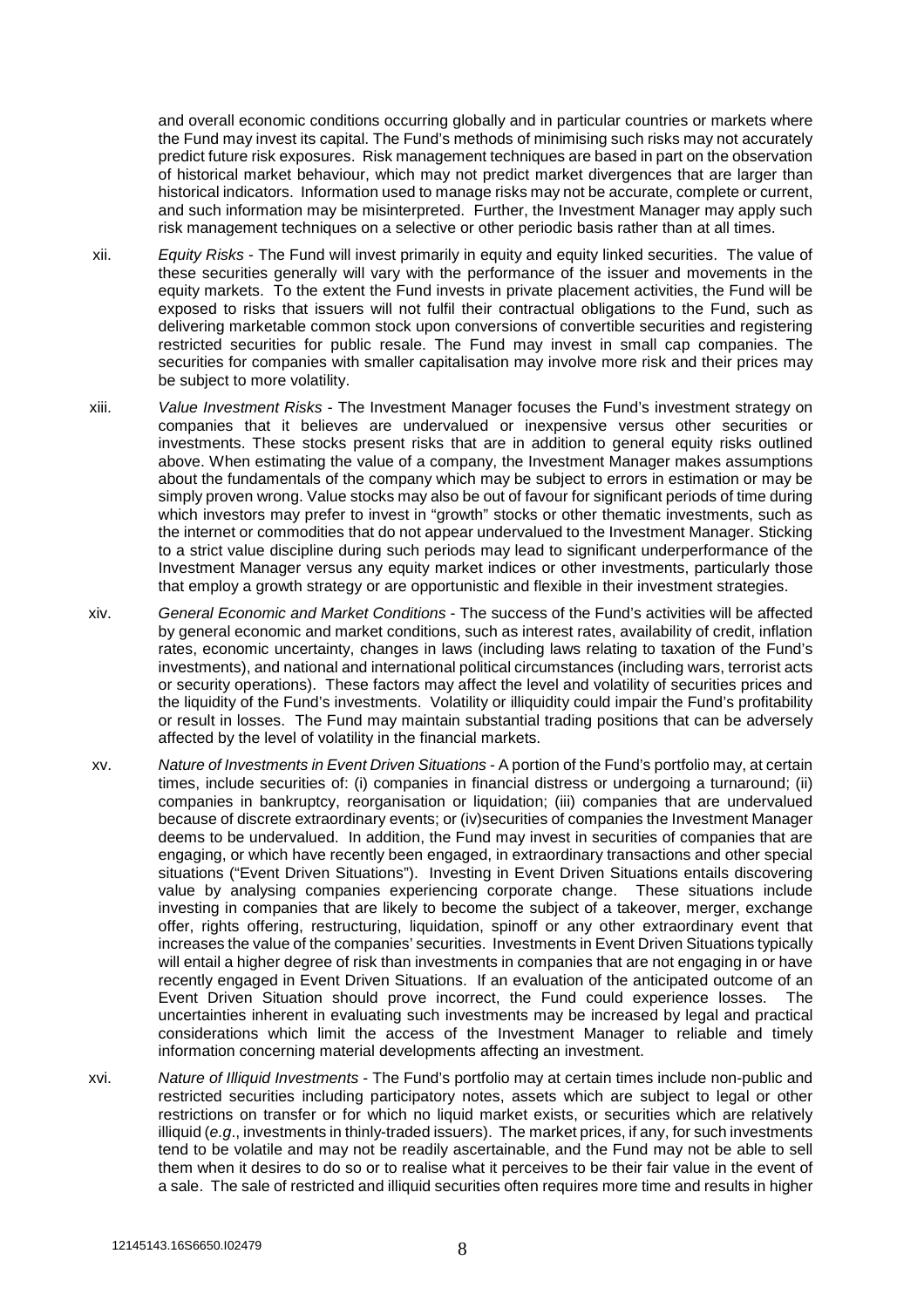and overall economic conditions occurring globally and in particular countries or markets where the Fund may invest its capital. The Fund's methods of minimising such risks may not accurately predict future risk exposures. Risk management techniques are based in part on the observation of historical market behaviour, which may not predict market divergences that are larger than historical indicators. Information used to manage risks may not be accurate, complete or current, and such information may be misinterpreted. Further, the Investment Manager may apply such risk management techniques on a selective or other periodic basis rather than at all times.

- xii. *Equity Risks* The Fund will invest primarily in equity and equity linked securities. The value of these securities generally will vary with the performance of the issuer and movements in the equity markets. To the extent the Fund invests in private placement activities, the Fund will be exposed to risks that issuers will not fulfil their contractual obligations to the Fund, such as delivering marketable common stock upon conversions of convertible securities and registering restricted securities for public resale. The Fund may invest in small cap companies. The securities for companies with smaller capitalisation may involve more risk and their prices may be subject to more volatility.
- xiii. *Value Investment Risks* The Investment Manager focuses the Fund's investment strategy on companies that it believes are undervalued or inexpensive versus other securities or investments. These stocks present risks that are in addition to general equity risks outlined above. When estimating the value of a company, the Investment Manager makes assumptions about the fundamentals of the company which may be subject to errors in estimation or may be simply proven wrong. Value stocks may also be out of favour for significant periods of time during which investors may prefer to invest in "growth" stocks or other thematic investments, such as the internet or commodities that do not appear undervalued to the Investment Manager. Sticking to a strict value discipline during such periods may lead to significant underperformance of the Investment Manager versus any equity market indices or other investments, particularly those that employ a growth strategy or are opportunistic and flexible in their investment strategies.
- xiv. *General Economic and Market Conditions* The success of the Fund's activities will be affected by general economic and market conditions, such as interest rates, availability of credit, inflation rates, economic uncertainty, changes in laws (including laws relating to taxation of the Fund's investments), and national and international political circumstances (including wars, terrorist acts or security operations). These factors may affect the level and volatility of securities prices and the liquidity of the Fund's investments. Volatility or illiquidity could impair the Fund's profitability or result in losses. The Fund may maintain substantial trading positions that can be adversely affected by the level of volatility in the financial markets.
- xv. *Nature of Investments in Event Driven Situations* A portion of the Fund's portfolio may, at certain times, include securities of: (i) companies in financial distress or undergoing a turnaround; (ii) companies in bankruptcy, reorganisation or liquidation; (iii) companies that are undervalued because of discrete extraordinary events; or (iv)securities of companies the Investment Manager deems to be undervalued. In addition, the Fund may invest in securities of companies that are engaging, or which have recently been engaged, in extraordinary transactions and other special situations ("Event Driven Situations"). Investing in Event Driven Situations entails discovering value by analysing companies experiencing corporate change. These situations include investing in companies that are likely to become the subject of a takeover, merger, exchange offer, rights offering, restructuring, liquidation, spinoff or any other extraordinary event that increases the value of the companies' securities. Investments in Event Driven Situations typically will entail a higher degree of risk than investments in companies that are not engaging in or have recently engaged in Event Driven Situations. If an evaluation of the anticipated outcome of an Event Driven Situation should prove incorrect, the Fund could experience losses. The uncertainties inherent in evaluating such investments may be increased by legal and practical considerations which limit the access of the Investment Manager to reliable and timely information concerning material developments affecting an investment.
- xvi. *Nature of Illiquid Investments* The Fund's portfolio may at certain times include non-public and restricted securities including participatory notes, assets which are subject to legal or other restrictions on transfer or for which no liquid market exists, or securities which are relatively illiquid (*e.g*., investments in thinly-traded issuers). The market prices, if any, for such investments tend to be volatile and may not be readily ascertainable, and the Fund may not be able to sell them when it desires to do so or to realise what it perceives to be their fair value in the event of a sale. The sale of restricted and illiquid securities often requires more time and results in higher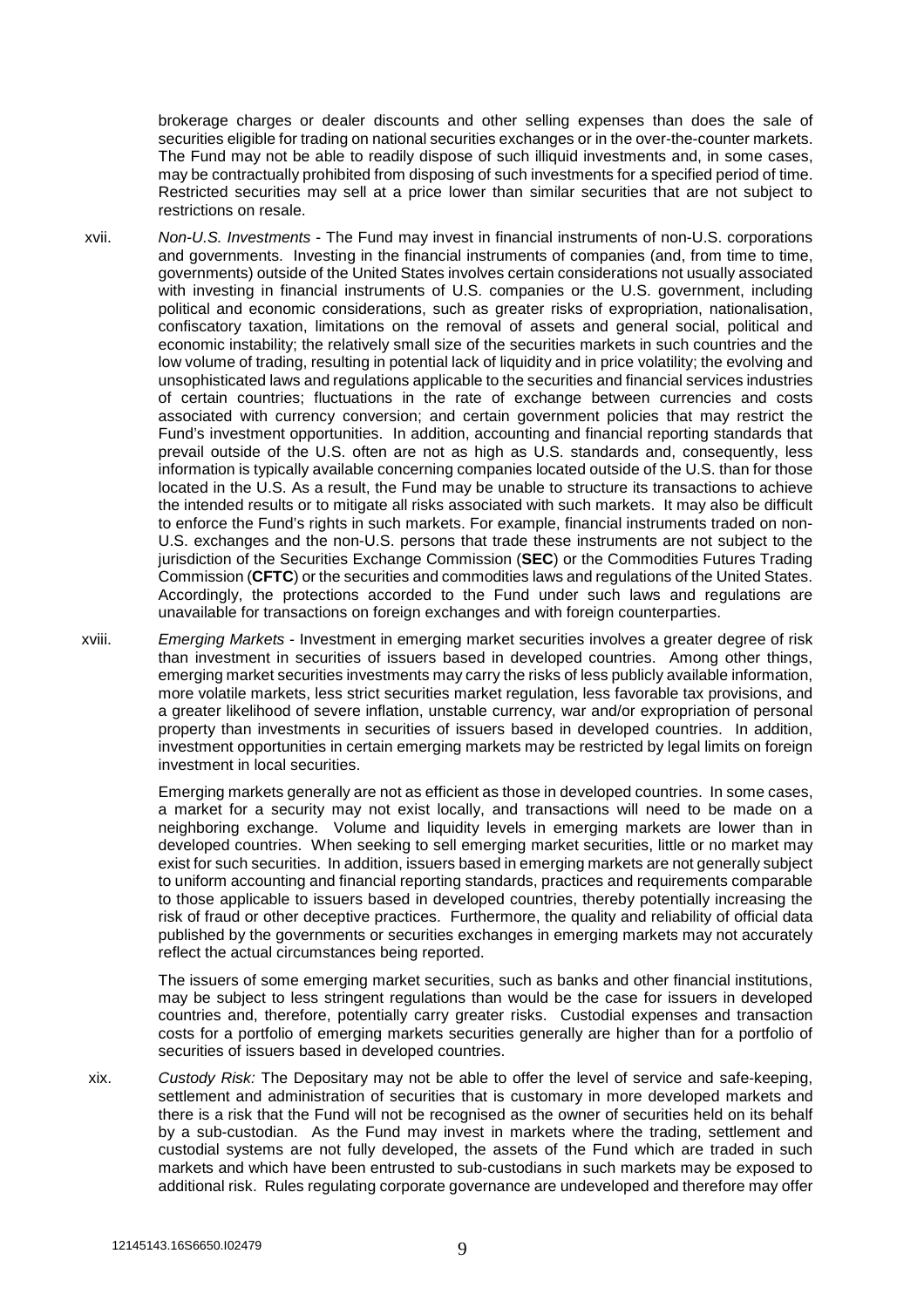brokerage charges or dealer discounts and other selling expenses than does the sale of securities eligible for trading on national securities exchanges or in the over-the-counter markets. The Fund may not be able to readily dispose of such illiquid investments and, in some cases, may be contractually prohibited from disposing of such investments for a specified period of time. Restricted securities may sell at a price lower than similar securities that are not subject to restrictions on resale.

- xvii. *Non-U.S. Investments* The Fund may invest in financial instruments of non-U.S. corporations and governments. Investing in the financial instruments of companies (and, from time to time, governments) outside of the United States involves certain considerations not usually associated with investing in financial instruments of U.S. companies or the U.S. government, including political and economic considerations, such as greater risks of expropriation, nationalisation, confiscatory taxation, limitations on the removal of assets and general social, political and economic instability; the relatively small size of the securities markets in such countries and the low volume of trading, resulting in potential lack of liquidity and in price volatility; the evolving and unsophisticated laws and regulations applicable to the securities and financial services industries of certain countries; fluctuations in the rate of exchange between currencies and costs associated with currency conversion; and certain government policies that may restrict the Fund's investment opportunities. In addition, accounting and financial reporting standards that prevail outside of the U.S. often are not as high as U.S. standards and, consequently, less information is typically available concerning companies located outside of the U.S. than for those located in the U.S. As a result, the Fund may be unable to structure its transactions to achieve the intended results or to mitigate all risks associated with such markets. It may also be difficult to enforce the Fund's rights in such markets. For example, financial instruments traded on non-U.S. exchanges and the non-U.S. persons that trade these instruments are not subject to the jurisdiction of the Securities Exchange Commission (**SEC**) or the Commodities Futures Trading Commission (**CFTC**) or the securities and commodities laws and regulations of the United States. Accordingly, the protections accorded to the Fund under such laws and regulations are unavailable for transactions on foreign exchanges and with foreign counterparties.
- xviii. *Emerging Markets* Investment in emerging market securities involves a greater degree of risk than investment in securities of issuers based in developed countries. Among other things, emerging market securities investments may carry the risks of less publicly available information, more volatile markets, less strict securities market regulation, less favorable tax provisions, and a greater likelihood of severe inflation, unstable currency, war and/or expropriation of personal property than investments in securities of issuers based in developed countries. In addition, investment opportunities in certain emerging markets may be restricted by legal limits on foreign investment in local securities.

Emerging markets generally are not as efficient as those in developed countries. In some cases, a market for a security may not exist locally, and transactions will need to be made on a neighboring exchange. Volume and liquidity levels in emerging markets are lower than in developed countries. When seeking to sell emerging market securities, little or no market may exist for such securities. In addition, issuers based in emerging markets are not generally subject to uniform accounting and financial reporting standards, practices and requirements comparable to those applicable to issuers based in developed countries, thereby potentially increasing the risk of fraud or other deceptive practices. Furthermore, the quality and reliability of official data published by the governments or securities exchanges in emerging markets may not accurately reflect the actual circumstances being reported.

The issuers of some emerging market securities, such as banks and other financial institutions, may be subject to less stringent regulations than would be the case for issuers in developed countries and, therefore, potentially carry greater risks. Custodial expenses and transaction costs for a portfolio of emerging markets securities generally are higher than for a portfolio of securities of issuers based in developed countries.

xix. *Custody Risk:* The Depositary may not be able to offer the level of service and safe-keeping, settlement and administration of securities that is customary in more developed markets and there is a risk that the Fund will not be recognised as the owner of securities held on its behalf by a sub-custodian. As the Fund may invest in markets where the trading, settlement and custodial systems are not fully developed, the assets of the Fund which are traded in such markets and which have been entrusted to sub-custodians in such markets may be exposed to additional risk. Rules regulating corporate governance are undeveloped and therefore may offer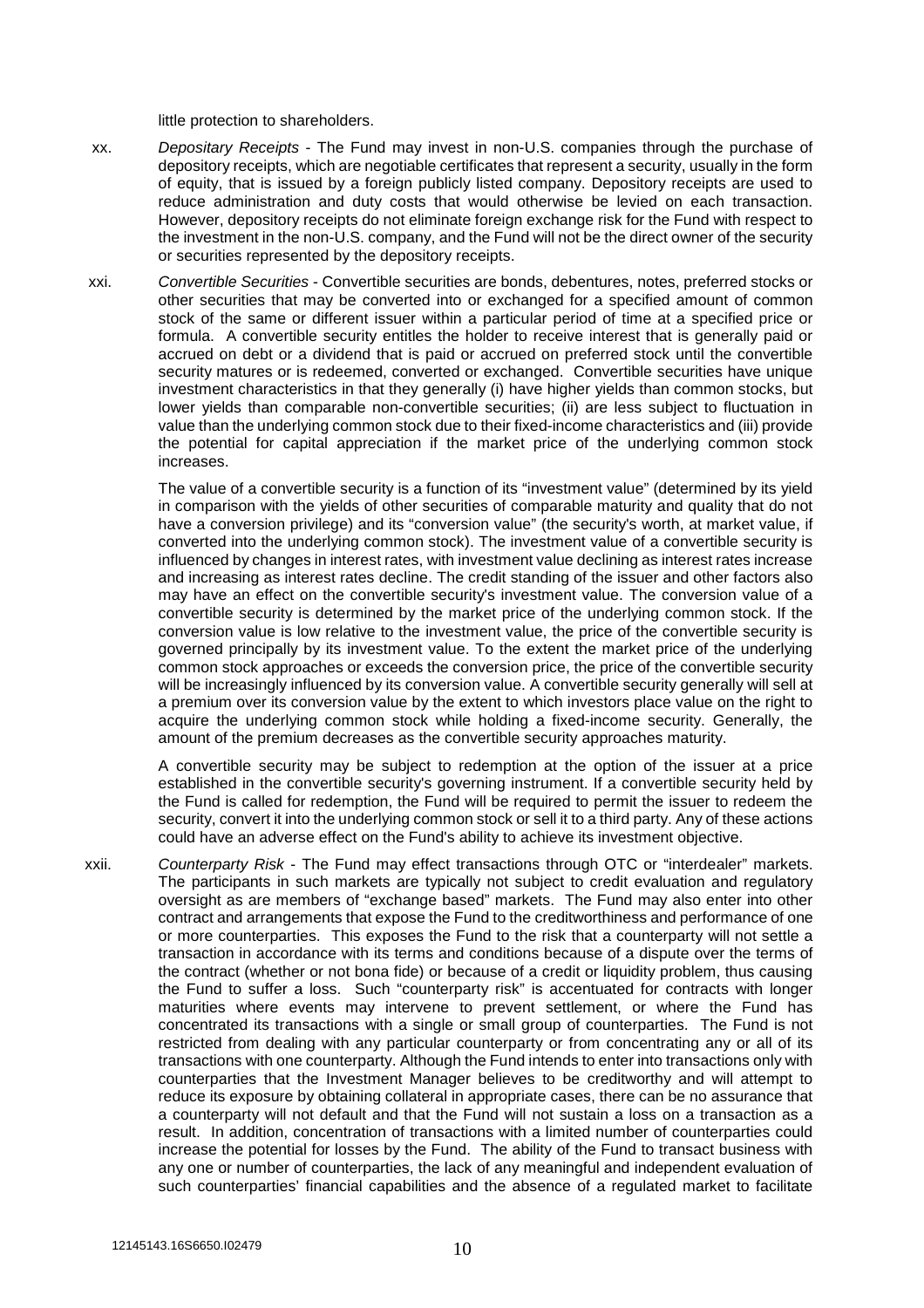little protection to shareholders.

- xx. *Depositary Receipts* The Fund may invest in non-U.S. companies through the purchase of depository receipts, which are negotiable certificates that represent a security, usually in the form of equity, that is issued by a foreign publicly listed company. Depository receipts are used to reduce administration and duty costs that would otherwise be levied on each transaction. However, depository receipts do not eliminate foreign exchange risk for the Fund with respect to the investment in the non-U.S. company, and the Fund will not be the direct owner of the security or securities represented by the depository receipts.
- xxi. *Convertible Securities* Convertible securities are bonds, debentures, notes, preferred stocks or other securities that may be converted into or exchanged for a specified amount of common stock of the same or different issuer within a particular period of time at a specified price or formula. A convertible security entitles the holder to receive interest that is generally paid or accrued on debt or a dividend that is paid or accrued on preferred stock until the convertible security matures or is redeemed, converted or exchanged. Convertible securities have unique investment characteristics in that they generally (i) have higher yields than common stocks, but lower yields than comparable non-convertible securities; (ii) are less subject to fluctuation in value than the underlying common stock due to their fixed-income characteristics and (iii) provide the potential for capital appreciation if the market price of the underlying common stock increases.

The value of a convertible security is a function of its "investment value" (determined by its yield in comparison with the yields of other securities of comparable maturity and quality that do not have a conversion privilege) and its "conversion value" (the security's worth, at market value, if converted into the underlying common stock). The investment value of a convertible security is influenced by changes in interest rates, with investment value declining as interest rates increase and increasing as interest rates decline. The credit standing of the issuer and other factors also may have an effect on the convertible security's investment value. The conversion value of a convertible security is determined by the market price of the underlying common stock. If the conversion value is low relative to the investment value, the price of the convertible security is governed principally by its investment value. To the extent the market price of the underlying common stock approaches or exceeds the conversion price, the price of the convertible security will be increasingly influenced by its conversion value. A convertible security generally will sell at a premium over its conversion value by the extent to which investors place value on the right to acquire the underlying common stock while holding a fixed-income security. Generally, the amount of the premium decreases as the convertible security approaches maturity.

A convertible security may be subject to redemption at the option of the issuer at a price established in the convertible security's governing instrument. If a convertible security held by the Fund is called for redemption, the Fund will be required to permit the issuer to redeem the security, convert it into the underlying common stock or sell it to a third party. Any of these actions could have an adverse effect on the Fund's ability to achieve its investment objective.

xxii. *Counterparty Risk* - The Fund may effect transactions through OTC or "interdealer" markets. The participants in such markets are typically not subject to credit evaluation and regulatory oversight as are members of "exchange based" markets. The Fund may also enter into other contract and arrangements that expose the Fund to the creditworthiness and performance of one or more counterparties. This exposes the Fund to the risk that a counterparty will not settle a transaction in accordance with its terms and conditions because of a dispute over the terms of the contract (whether or not bona fide) or because of a credit or liquidity problem, thus causing the Fund to suffer a loss. Such "counterparty risk" is accentuated for contracts with longer maturities where events may intervene to prevent settlement, or where the Fund has concentrated its transactions with a single or small group of counterparties. The Fund is not restricted from dealing with any particular counterparty or from concentrating any or all of its transactions with one counterparty. Although the Fund intends to enter into transactions only with counterparties that the Investment Manager believes to be creditworthy and will attempt to reduce its exposure by obtaining collateral in appropriate cases, there can be no assurance that a counterparty will not default and that the Fund will not sustain a loss on a transaction as a result. In addition, concentration of transactions with a limited number of counterparties could increase the potential for losses by the Fund. The ability of the Fund to transact business with any one or number of counterparties, the lack of any meaningful and independent evaluation of such counterparties' financial capabilities and the absence of a regulated market to facilitate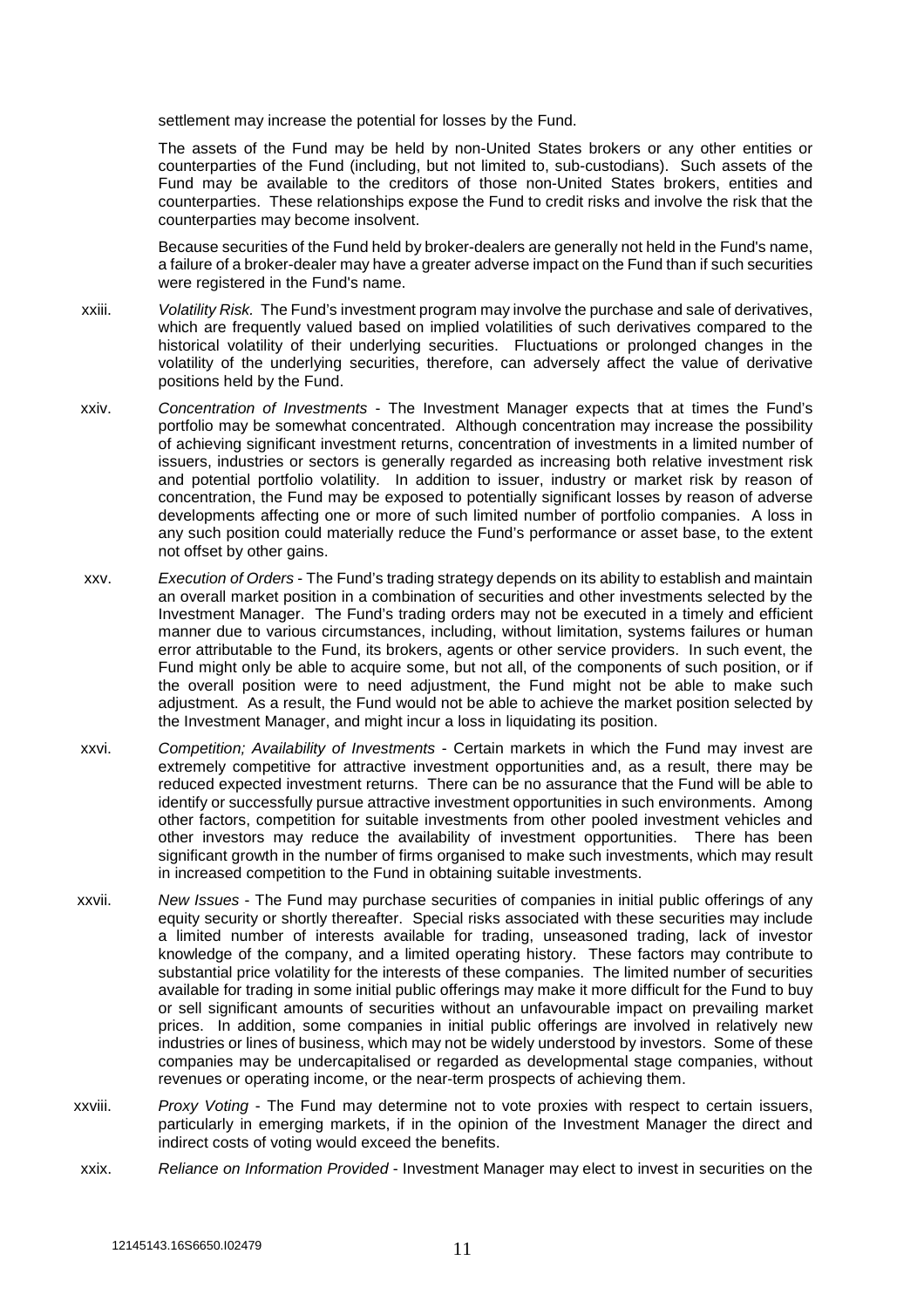settlement may increase the potential for losses by the Fund.

The assets of the Fund may be held by non-United States brokers or any other entities or counterparties of the Fund (including, but not limited to, sub-custodians). Such assets of the Fund may be available to the creditors of those non-United States brokers, entities and counterparties. These relationships expose the Fund to credit risks and involve the risk that the counterparties may become insolvent.

Because securities of the Fund held by broker-dealers are generally not held in the Fund's name, a failure of a broker-dealer may have a greater adverse impact on the Fund than if such securities were registered in the Fund's name.

- xxiii. *Volatility Risk.* The Fund's investment program may involve the purchase and sale of derivatives, which are frequently valued based on implied volatilities of such derivatives compared to the historical volatility of their underlying securities. Fluctuations or prolonged changes in the volatility of the underlying securities, therefore, can adversely affect the value of derivative positions held by the Fund.
- xxiv. *Concentration of Investments* The Investment Manager expects that at times the Fund's portfolio may be somewhat concentrated. Although concentration may increase the possibility of achieving significant investment returns, concentration of investments in a limited number of issuers, industries or sectors is generally regarded as increasing both relative investment risk and potential portfolio volatility. In addition to issuer, industry or market risk by reason of concentration, the Fund may be exposed to potentially significant losses by reason of adverse developments affecting one or more of such limited number of portfolio companies. A loss in any such position could materially reduce the Fund's performance or asset base, to the extent not offset by other gains.
- xxv. *Execution of Orders* The Fund's trading strategy depends on its ability to establish and maintain an overall market position in a combination of securities and other investments selected by the Investment Manager. The Fund's trading orders may not be executed in a timely and efficient manner due to various circumstances, including, without limitation, systems failures or human error attributable to the Fund, its brokers, agents or other service providers. In such event, the Fund might only be able to acquire some, but not all, of the components of such position, or if the overall position were to need adjustment, the Fund might not be able to make such adjustment. As a result, the Fund would not be able to achieve the market position selected by the Investment Manager, and might incur a loss in liquidating its position.
- xxvi. *Competition; Availability of Investments* Certain markets in which the Fund may invest are extremely competitive for attractive investment opportunities and, as a result, there may be reduced expected investment returns. There can be no assurance that the Fund will be able to identify or successfully pursue attractive investment opportunities in such environments. Among other factors, competition for suitable investments from other pooled investment vehicles and other investors may reduce the availability of investment opportunities. There has been significant growth in the number of firms organised to make such investments, which may result in increased competition to the Fund in obtaining suitable investments.
- xxvii. *New Issues* The Fund may purchase securities of companies in initial public offerings of any equity security or shortly thereafter. Special risks associated with these securities may include a limited number of interests available for trading, unseasoned trading, lack of investor knowledge of the company, and a limited operating history. These factors may contribute to substantial price volatility for the interests of these companies. The limited number of securities available for trading in some initial public offerings may make it more difficult for the Fund to buy or sell significant amounts of securities without an unfavourable impact on prevailing market prices. In addition, some companies in initial public offerings are involved in relatively new industries or lines of business, which may not be widely understood by investors. Some of these companies may be undercapitalised or regarded as developmental stage companies, without revenues or operating income, or the near-term prospects of achieving them.
- xxviii. *Proxy Voting* The Fund may determine not to vote proxies with respect to certain issuers, particularly in emerging markets, if in the opinion of the Investment Manager the direct and indirect costs of voting would exceed the benefits.
- xxix. *Reliance on Information Provided* Investment Manager may elect to invest in securities on the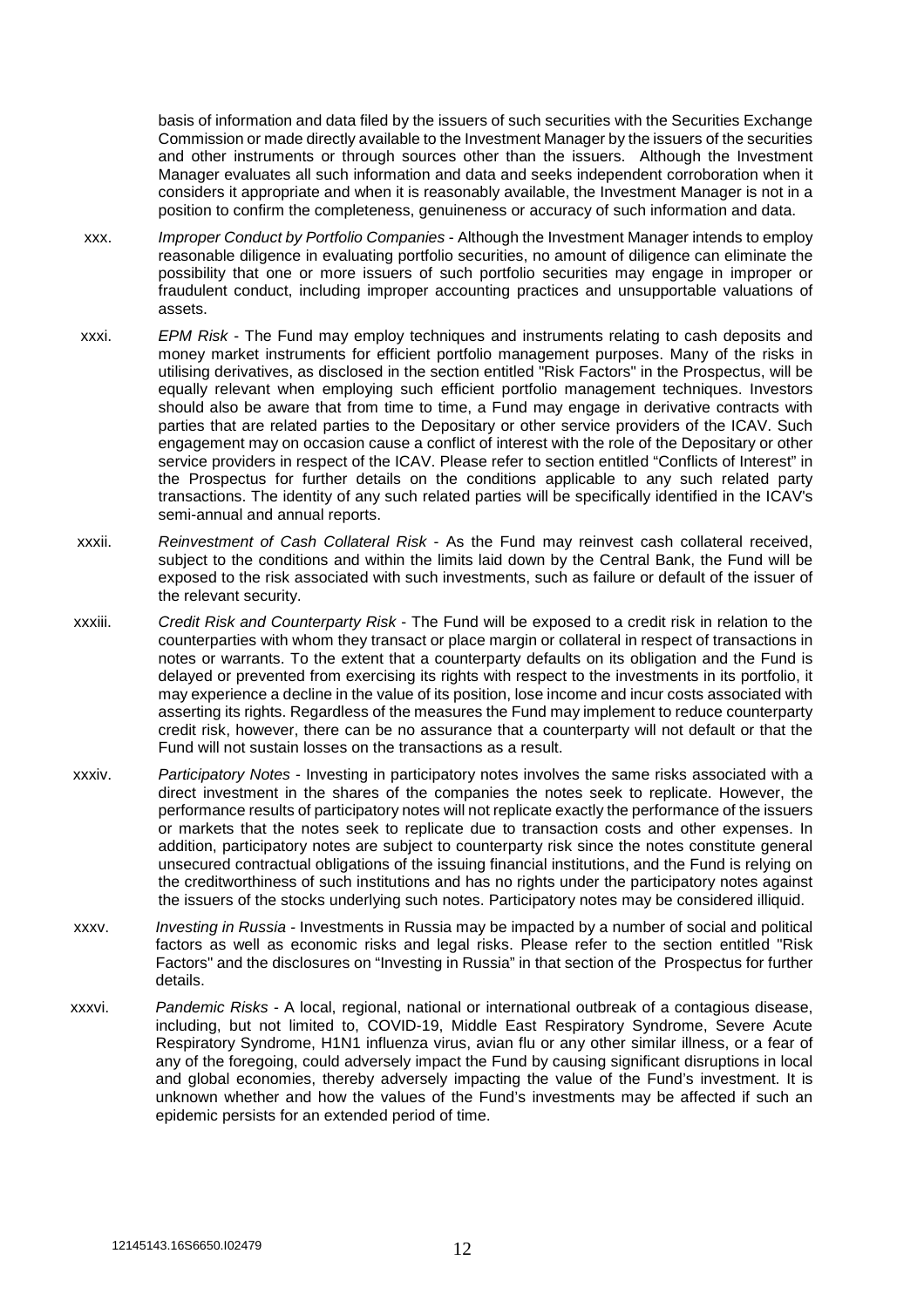basis of information and data filed by the issuers of such securities with the Securities Exchange Commission or made directly available to the Investment Manager by the issuers of the securities and other instruments or through sources other than the issuers. Although the Investment Manager evaluates all such information and data and seeks independent corroboration when it considers it appropriate and when it is reasonably available, the Investment Manager is not in a position to confirm the completeness, genuineness or accuracy of such information and data.

- xxx. *Improper Conduct by Portfolio Companies* Although the Investment Manager intends to employ reasonable diligence in evaluating portfolio securities, no amount of diligence can eliminate the possibility that one or more issuers of such portfolio securities may engage in improper or fraudulent conduct, including improper accounting practices and unsupportable valuations of assets.
- xxxi. *EPM Risk* The Fund may employ techniques and instruments relating to cash deposits and money market instruments for efficient portfolio management purposes. Many of the risks in utilising derivatives, as disclosed in the section entitled "Risk Factors" in the Prospectus, will be equally relevant when employing such efficient portfolio management techniques. Investors should also be aware that from time to time, a Fund may engage in derivative contracts with parties that are related parties to the Depositary or other service providers of the ICAV. Such engagement may on occasion cause a conflict of interest with the role of the Depositary or other service providers in respect of the ICAV. Please refer to section entitled "Conflicts of Interest" in the Prospectus for further details on the conditions applicable to any such related party transactions. The identity of any such related parties will be specifically identified in the ICAV's semi-annual and annual reports.
- xxxii. *Reinvestment of Cash Collateral Risk* As the Fund may reinvest cash collateral received, subject to the conditions and within the limits laid down by the Central Bank, the Fund will be exposed to the risk associated with such investments, such as failure or default of the issuer of the relevant security.
- xxxiii. *Credit Risk and Counterparty Risk* The Fund will be exposed to a credit risk in relation to the counterparties with whom they transact or place margin or collateral in respect of transactions in notes or warrants. To the extent that a counterparty defaults on its obligation and the Fund is delayed or prevented from exercising its rights with respect to the investments in its portfolio, it may experience a decline in the value of its position, lose income and incur costs associated with asserting its rights. Regardless of the measures the Fund may implement to reduce counterparty credit risk, however, there can be no assurance that a counterparty will not default or that the Fund will not sustain losses on the transactions as a result.
- xxxiv. *Participatory Notes*  Investing in participatory notes involves the same risks associated with a direct investment in the shares of the companies the notes seek to replicate. However, the performance results of participatory notes will not replicate exactly the performance of the issuers or markets that the notes seek to replicate due to transaction costs and other expenses. In addition, participatory notes are subject to counterparty risk since the notes constitute general unsecured contractual obligations of the issuing financial institutions, and the Fund is relying on the creditworthiness of such institutions and has no rights under the participatory notes against the issuers of the stocks underlying such notes. Participatory notes may be considered illiquid.
- xxxv. *Investing in Russia* Investments in Russia may be impacted by a number of social and political factors as well as economic risks and legal risks. Please refer to the section entitled "Risk Factors" and the disclosures on "Investing in Russia" in that section of the Prospectus for further details.
- xxxvi. *Pandemic Risks* A local, regional, national or international outbreak of a contagious disease, including, but not limited to, COVID-19, Middle East Respiratory Syndrome, Severe Acute Respiratory Syndrome, H1N1 influenza virus, avian flu or any other similar illness, or a fear of any of the foregoing, could adversely impact the Fund by causing significant disruptions in local and global economies, thereby adversely impacting the value of the Fund's investment. It is unknown whether and how the values of the Fund's investments may be affected if such an epidemic persists for an extended period of time.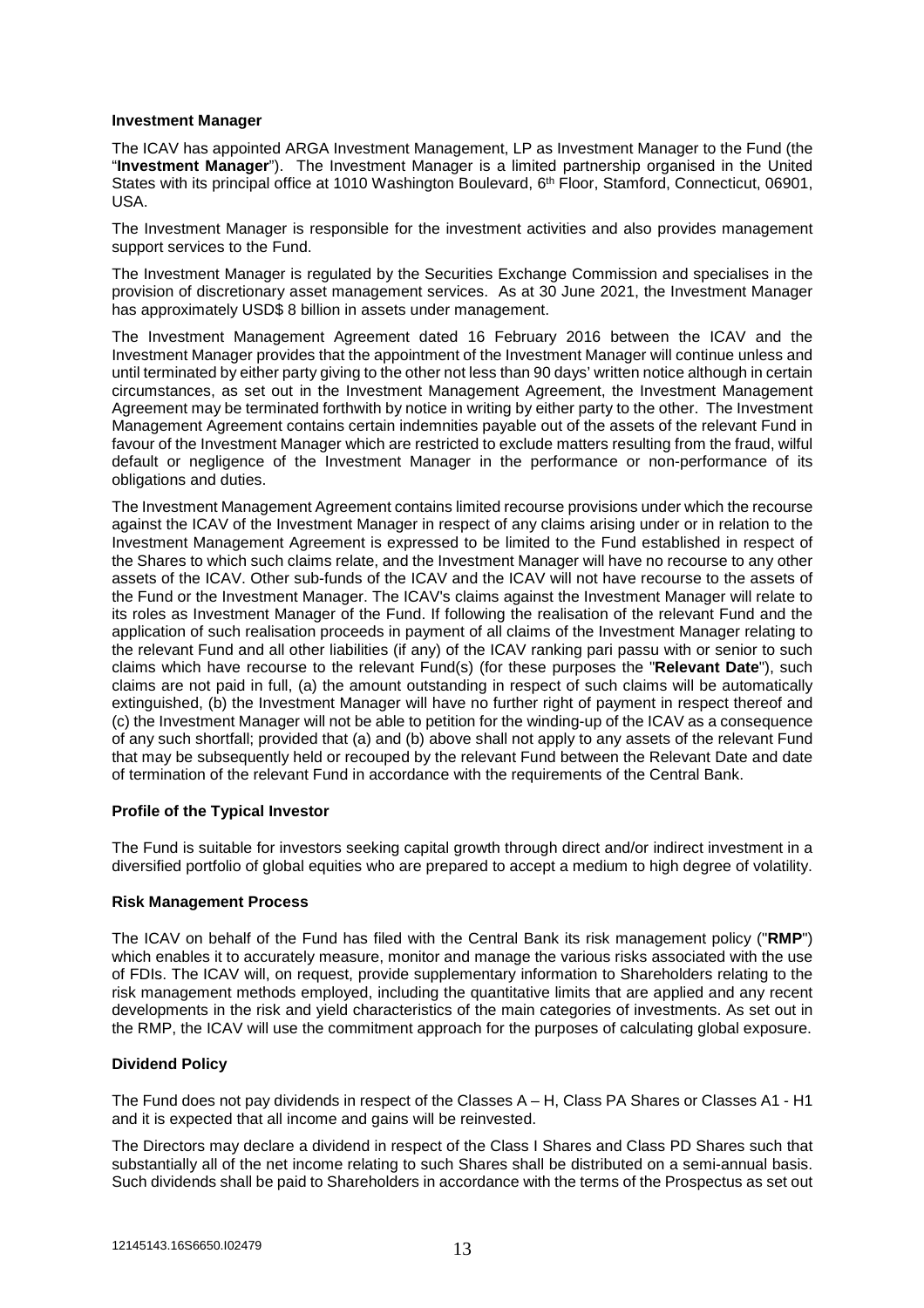## **Investment Manager**

The ICAV has appointed ARGA Investment Management, LP as Investment Manager to the Fund (the "**Investment Manager**"). The Investment Manager is a limited partnership organised in the United States with its principal office at 1010 Washington Boulevard, 6<sup>th</sup> Floor, Stamford, Connecticut, 06901, USA.

The Investment Manager is responsible for the investment activities and also provides management support services to the Fund.

The Investment Manager is regulated by the Securities Exchange Commission and specialises in the provision of discretionary asset management services. As at 30 June 2021, the Investment Manager has approximately USD\$ 8 billion in assets under management.

The Investment Management Agreement dated 16 February 2016 between the ICAV and the Investment Manager provides that the appointment of the Investment Manager will continue unless and until terminated by either party giving to the other not less than 90 days' written notice although in certain circumstances, as set out in the Investment Management Agreement, the Investment Management Agreement may be terminated forthwith by notice in writing by either party to the other. The Investment Management Agreement contains certain indemnities payable out of the assets of the relevant Fund in favour of the Investment Manager which are restricted to exclude matters resulting from the fraud, wilful default or negligence of the Investment Manager in the performance or non-performance of its obligations and duties.

The Investment Management Agreement contains limited recourse provisions under which the recourse against the ICAV of the Investment Manager in respect of any claims arising under or in relation to the Investment Management Agreement is expressed to be limited to the Fund established in respect of the Shares to which such claims relate, and the Investment Manager will have no recourse to any other assets of the ICAV. Other sub-funds of the ICAV and the ICAV will not have recourse to the assets of the Fund or the Investment Manager. The ICAV's claims against the Investment Manager will relate to its roles as Investment Manager of the Fund. If following the realisation of the relevant Fund and the application of such realisation proceeds in payment of all claims of the Investment Manager relating to the relevant Fund and all other liabilities (if any) of the ICAV ranking pari passu with or senior to such claims which have recourse to the relevant Fund(s) (for these purposes the "**Relevant Date**"), such claims are not paid in full, (a) the amount outstanding in respect of such claims will be automatically extinguished, (b) the Investment Manager will have no further right of payment in respect thereof and (c) the Investment Manager will not be able to petition for the winding-up of the ICAV as a consequence of any such shortfall; provided that (a) and (b) above shall not apply to any assets of the relevant Fund that may be subsequently held or recouped by the relevant Fund between the Relevant Date and date of termination of the relevant Fund in accordance with the requirements of the Central Bank.

# **Profile of the Typical Investor**

The Fund is suitable for investors seeking capital growth through direct and/or indirect investment in a diversified portfolio of global equities who are prepared to accept a medium to high degree of volatility.

## **Risk Management Process**

The ICAV on behalf of the Fund has filed with the Central Bank its risk management policy ("**RMP**") which enables it to accurately measure, monitor and manage the various risks associated with the use of FDIs. The ICAV will, on request, provide supplementary information to Shareholders relating to the risk management methods employed, including the quantitative limits that are applied and any recent developments in the risk and yield characteristics of the main categories of investments. As set out in the RMP, the ICAV will use the commitment approach for the purposes of calculating global exposure.

## **Dividend Policy**

The Fund does not pay dividends in respect of the Classes A – H, Class PA Shares or Classes A1 - H1 and it is expected that all income and gains will be reinvested.

The Directors may declare a dividend in respect of the Class I Shares and Class PD Shares such that substantially all of the net income relating to such Shares shall be distributed on a semi-annual basis. Such dividends shall be paid to Shareholders in accordance with the terms of the Prospectus as set out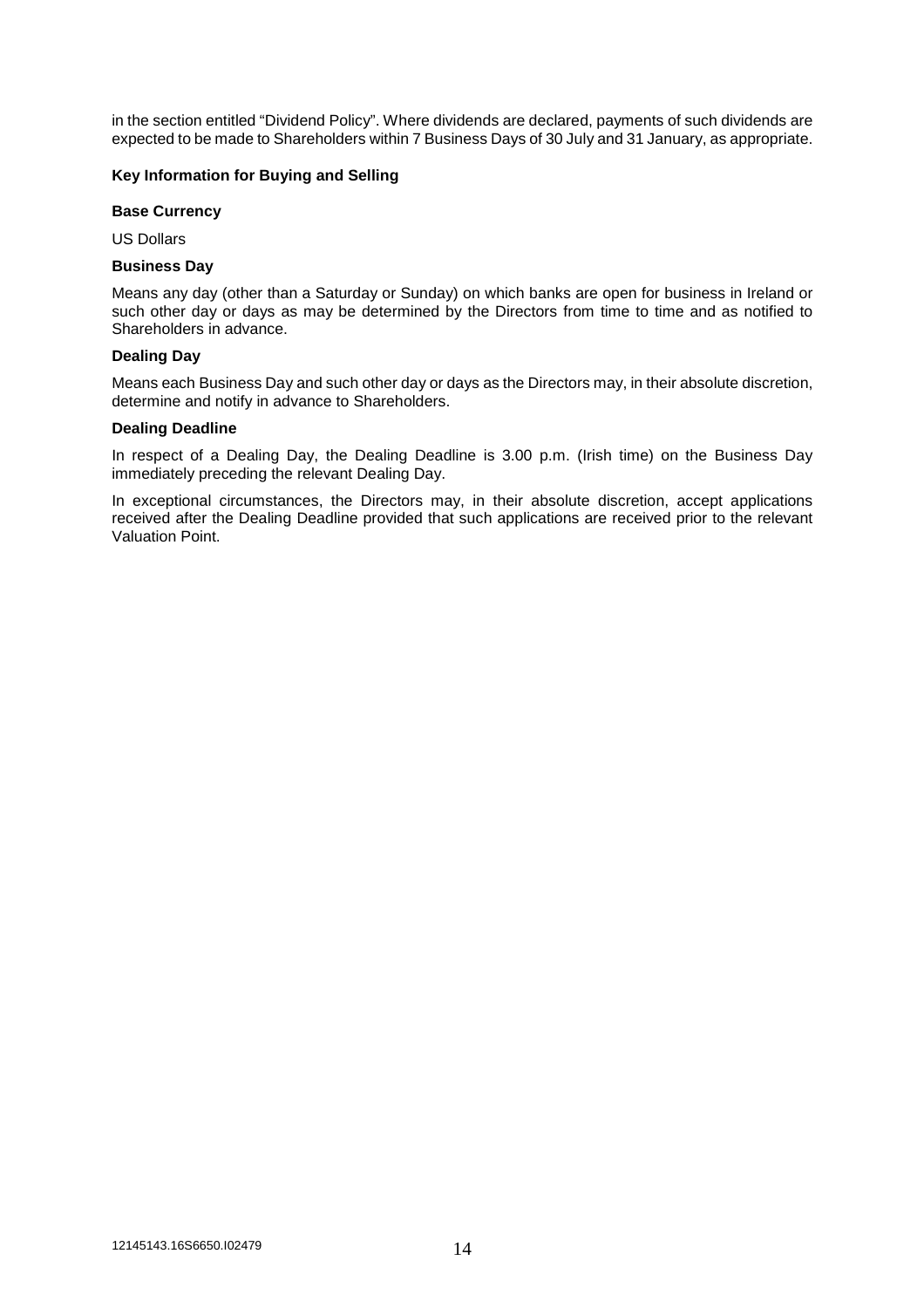in the section entitled "Dividend Policy". Where dividends are declared, payments of such dividends are expected to be made to Shareholders within 7 Business Days of 30 July and 31 January, as appropriate.

### **Key Information for Buying and Selling**

#### **Base Currency**

US Dollars

#### **Business Day**

Means any day (other than a Saturday or Sunday) on which banks are open for business in Ireland or such other day or days as may be determined by the Directors from time to time and as notified to Shareholders in advance.

### **Dealing Day**

Means each Business Day and such other day or days as the Directors may, in their absolute discretion, determine and notify in advance to Shareholders.

#### **Dealing Deadline**

In respect of a Dealing Day, the Dealing Deadline is 3.00 p.m. (Irish time) on the Business Day immediately preceding the relevant Dealing Day.

In exceptional circumstances, the Directors may, in their absolute discretion, accept applications received after the Dealing Deadline provided that such applications are received prior to the relevant Valuation Point.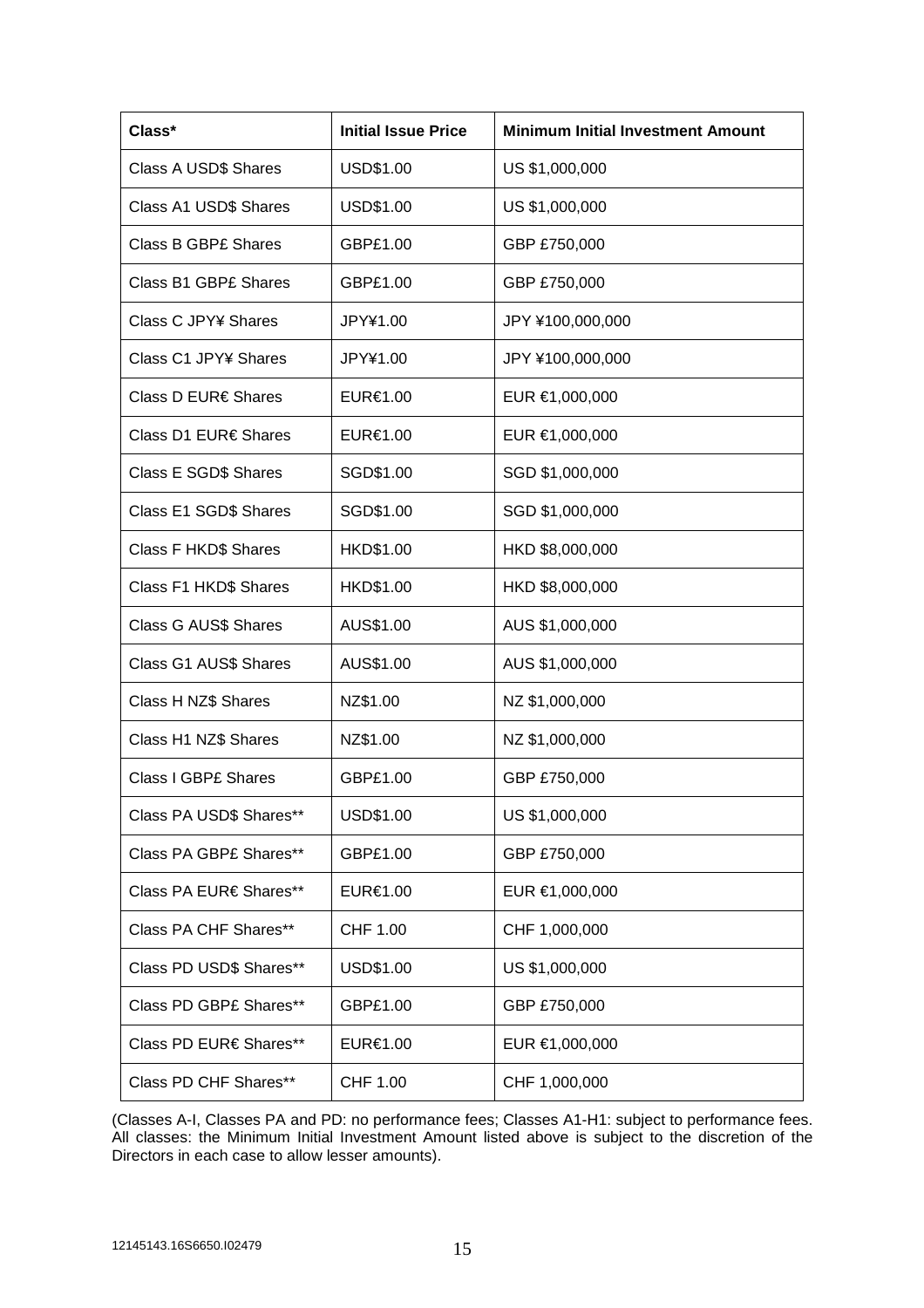| Class*                      | <b>Initial Issue Price</b> | <b>Minimum Initial Investment Amount</b> |
|-----------------------------|----------------------------|------------------------------------------|
| <b>Class A USD\$ Shares</b> | USD\$1.00                  | US \$1,000,000                           |
| Class A1 USD\$ Shares       | <b>USD\$1.00</b>           | US \$1,000,000                           |
| Class B GBP£ Shares         | GBP£1.00                   | GBP £750,000                             |
| Class B1 GBP£ Shares        | GBP£1.00                   | GBP £750,000                             |
| Class C JPY¥ Shares         | JPY¥1.00                   | JPY ¥100,000,000                         |
| Class C1 JPY¥ Shares        | JPY¥1.00                   | JPY ¥100,000,000                         |
| Class D EUR€ Shares         | EUR€1.00                   | EUR €1,000,000                           |
| Class D1 EUR€ Shares        | EUR $€1.00$                | EUR €1,000,000                           |
| Class E SGD\$ Shares        | SGD\$1.00                  | SGD \$1,000,000                          |
| Class E1 SGD\$ Shares       | SGD\$1.00                  | SGD \$1,000,000                          |
| <b>Class F HKD\$ Shares</b> | HKD\$1.00                  | HKD \$8,000,000                          |
| Class F1 HKD\$ Shares       | <b>HKD\$1.00</b>           | HKD \$8,000,000                          |
| <b>Class G AUS\$ Shares</b> | AUS\$1.00                  | AUS \$1,000,000                          |
| Class G1 AUS\$ Shares       | AUS\$1.00                  | AUS \$1,000,000                          |
| Class H NZ\$ Shares         | NZ\$1.00                   | NZ \$1,000,000                           |
| Class H1 NZ\$ Shares        | NZ\$1.00                   | NZ \$1,000,000                           |
| <b>Class I GBP£ Shares</b>  | GBP£1.00                   | GBP £750,000                             |
| Class PA USD\$ Shares**     | <b>USD\$1.00</b>           | US \$1,000,000                           |
| Class PA GBP£ Shares**      | GBP£1.00                   | GBP £750,000                             |
| Class PA EUR€ Shares**      | EUR€1.00                   | EUR €1,000,000                           |
| Class PA CHF Shares**       | <b>CHF 1.00</b>            | CHF 1,000,000                            |
| Class PD USD\$ Shares**     | USD\$1.00                  | US \$1,000,000                           |
| Class PD GBP£ Shares**      | GBP£1.00                   | GBP £750,000                             |
| Class PD EUR€ Shares**      | EUR€1.00                   | EUR €1,000,000                           |
| Class PD CHF Shares**       | <b>CHF 1.00</b>            | CHF 1,000,000                            |

(Classes A-I, Classes PA and PD: no performance fees; Classes A1-H1: subject to performance fees. All classes: the Minimum Initial Investment Amount listed above is subject to the discretion of the Directors in each case to allow lesser amounts).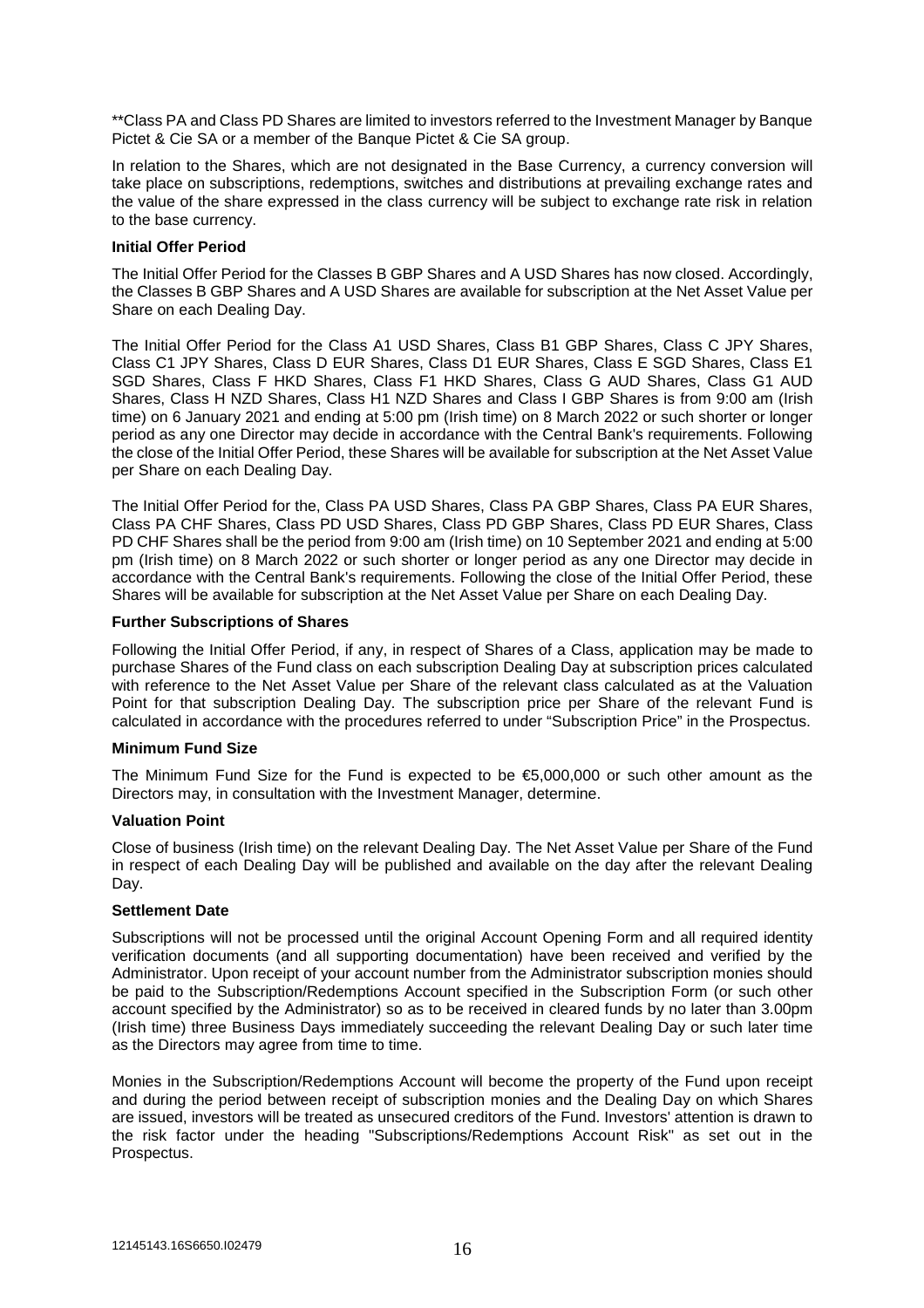\*\*Class PA and Class PD Shares are limited to investors referred to the Investment Manager by Banque Pictet & Cie SA or a member of the Banque Pictet & Cie SA group.

In relation to the Shares, which are not designated in the Base Currency, a currency conversion will take place on subscriptions, redemptions, switches and distributions at prevailing exchange rates and the value of the share expressed in the class currency will be subject to exchange rate risk in relation to the base currency.

# **Initial Offer Period**

The Initial Offer Period for the Classes B GBP Shares and A USD Shares has now closed. Accordingly, the Classes B GBP Shares and A USD Shares are available for subscription at the Net Asset Value per Share on each Dealing Day.

The Initial Offer Period for the Class A1 USD Shares, Class B1 GBP Shares, Class C JPY Shares, Class C1 JPY Shares, Class D EUR Shares, Class D1 EUR Shares, Class E SGD Shares, Class E1 SGD Shares, Class F HKD Shares, Class F1 HKD Shares, Class G AUD Shares, Class G1 AUD Shares, Class H NZD Shares, Class H1 NZD Shares and Class I GBP Shares is from 9:00 am (Irish time) on 6 January 2021 and ending at 5:00 pm (Irish time) on 8 March 2022 or such shorter or longer period as any one Director may decide in accordance with the Central Bank's requirements. Following the close of the Initial Offer Period, these Shares will be available for subscription at the Net Asset Value per Share on each Dealing Day.

The Initial Offer Period for the, Class PA USD Shares, Class PA GBP Shares, Class PA EUR Shares, Class PA CHF Shares, Class PD USD Shares, Class PD GBP Shares, Class PD EUR Shares, Class PD CHF Shares shall be the period from 9:00 am (Irish time) on 10 September 2021 and ending at 5:00 pm (Irish time) on 8 March 2022 or such shorter or longer period as any one Director may decide in accordance with the Central Bank's requirements. Following the close of the Initial Offer Period, these Shares will be available for subscription at the Net Asset Value per Share on each Dealing Day.

#### **Further Subscriptions of Shares**

Following the Initial Offer Period, if any, in respect of Shares of a Class, application may be made to purchase Shares of the Fund class on each subscription Dealing Day at subscription prices calculated with reference to the Net Asset Value per Share of the relevant class calculated as at the Valuation Point for that subscription Dealing Day. The subscription price per Share of the relevant Fund is calculated in accordance with the procedures referred to under "Subscription Price" in the Prospectus.

## **Minimum Fund Size**

The Minimum Fund Size for the Fund is expected to be  $\text{£}5,000,000$  or such other amount as the Directors may, in consultation with the Investment Manager, determine.

#### **Valuation Point**

Close of business (Irish time) on the relevant Dealing Day. The Net Asset Value per Share of the Fund in respect of each Dealing Day will be published and available on the day after the relevant Dealing Day.

#### **Settlement Date**

Subscriptions will not be processed until the original Account Opening Form and all required identity verification documents (and all supporting documentation) have been received and verified by the Administrator. Upon receipt of your account number from the Administrator subscription monies should be paid to the Subscription/Redemptions Account specified in the Subscription Form (or such other account specified by the Administrator) so as to be received in cleared funds by no later than 3.00pm (Irish time) three Business Days immediately succeeding the relevant Dealing Day or such later time as the Directors may agree from time to time.

Monies in the Subscription/Redemptions Account will become the property of the Fund upon receipt and during the period between receipt of subscription monies and the Dealing Day on which Shares are issued, investors will be treated as unsecured creditors of the Fund. Investors' attention is drawn to the risk factor under the heading "Subscriptions/Redemptions Account Risk" as set out in the Prospectus.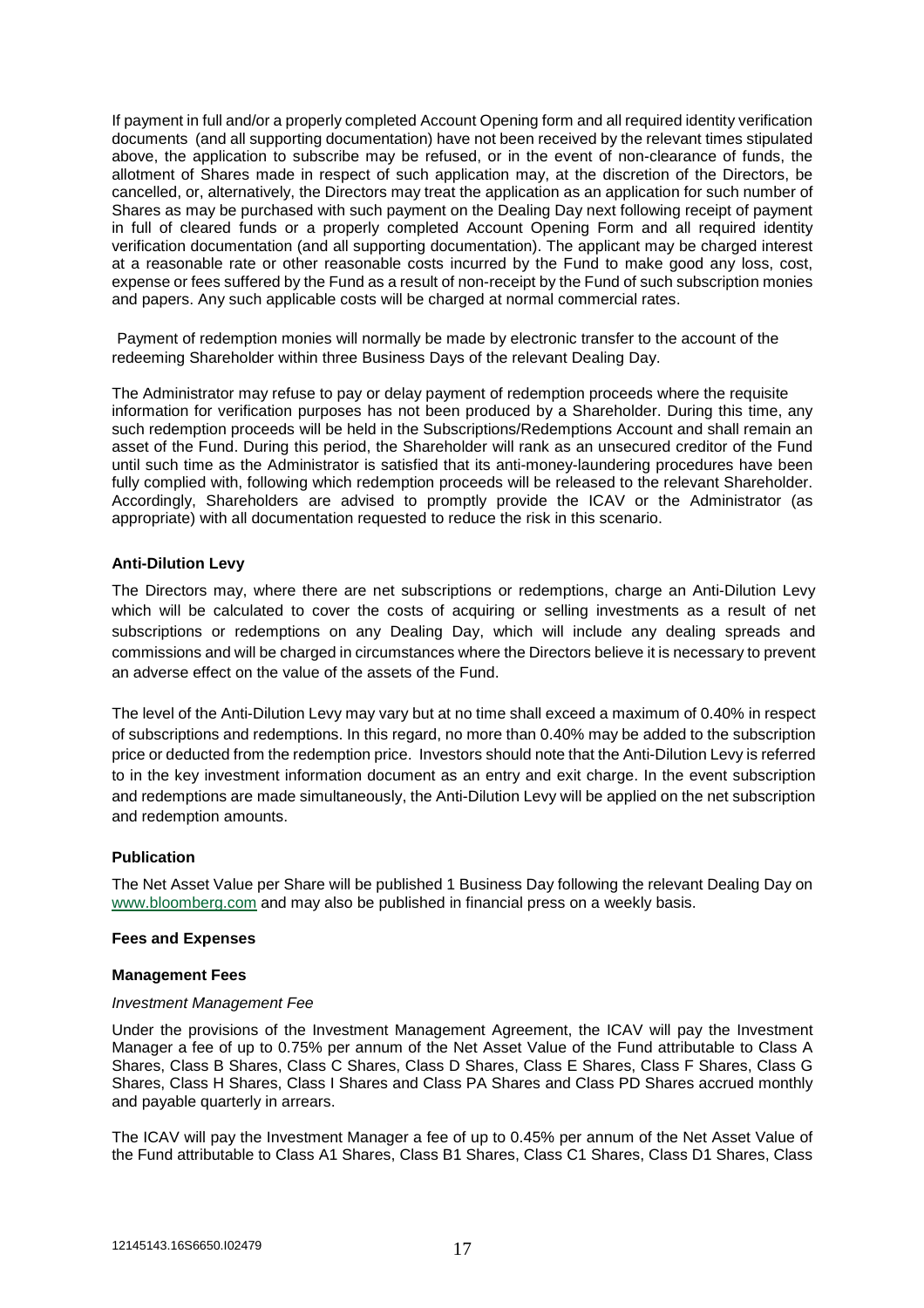If payment in full and/or a properly completed Account Opening form and all required identity verification documents (and all supporting documentation) have not been received by the relevant times stipulated above, the application to subscribe may be refused, or in the event of non-clearance of funds, the allotment of Shares made in respect of such application may, at the discretion of the Directors, be cancelled, or, alternatively, the Directors may treat the application as an application for such number of Shares as may be purchased with such payment on the Dealing Day next following receipt of payment in full of cleared funds or a properly completed Account Opening Form and all required identity verification documentation (and all supporting documentation). The applicant may be charged interest at a reasonable rate or other reasonable costs incurred by the Fund to make good any loss, cost, expense or fees suffered by the Fund as a result of non-receipt by the Fund of such subscription monies and papers. Any such applicable costs will be charged at normal commercial rates.

Payment of redemption monies will normally be made by electronic transfer to the account of the redeeming Shareholder within three Business Days of the relevant Dealing Day.

The Administrator may refuse to pay or delay payment of redemption proceeds where the requisite information for verification purposes has not been produced by a Shareholder. During this time, any such redemption proceeds will be held in the Subscriptions/Redemptions Account and shall remain an asset of the Fund. During this period, the Shareholder will rank as an unsecured creditor of the Fund until such time as the Administrator is satisfied that its anti-money-laundering procedures have been fully complied with, following which redemption proceeds will be released to the relevant Shareholder. Accordingly, Shareholders are advised to promptly provide the ICAV or the Administrator (as appropriate) with all documentation requested to reduce the risk in this scenario.

# **Anti-Dilution Levy**

The Directors may, where there are net subscriptions or redemptions, charge an Anti-Dilution Levy which will be calculated to cover the costs of acquiring or selling investments as a result of net subscriptions or redemptions on any Dealing Day, which will include any dealing spreads and commissions and will be charged in circumstances where the Directors believe it is necessary to prevent an adverse effect on the value of the assets of the Fund.

The level of the Anti-Dilution Levy may vary but at no time shall exceed a maximum of 0.40% in respect of subscriptions and redemptions. In this regard, no more than 0.40% may be added to the subscription price or deducted from the redemption price. Investors should note that the Anti-Dilution Levy is referred to in the key investment information document as an entry and exit charge. In the event subscription and redemptions are made simultaneously, the Anti-Dilution Levy will be applied on the net subscription and redemption amounts.

## **Publication**

The Net Asset Value per Share will be published 1 Business Day following the relevant Dealing Day on www.bloomberg.com and may also be published in financial press on a weekly basis.

## **Fees and Expenses**

## **Management Fees**

## *Investment Management Fee*

Under the provisions of the Investment Management Agreement, the ICAV will pay the Investment Manager a fee of up to 0.75% per annum of the Net Asset Value of the Fund attributable to Class A Shares, Class B Shares, Class C Shares, Class D Shares, Class E Shares, Class F Shares, Class G Shares, Class H Shares, Class I Shares and Class PA Shares and Class PD Shares accrued monthly and payable quarterly in arrears.

The ICAV will pay the Investment Manager a fee of up to 0.45% per annum of the Net Asset Value of the Fund attributable to Class A1 Shares, Class B1 Shares, Class C1 Shares, Class D1 Shares, Class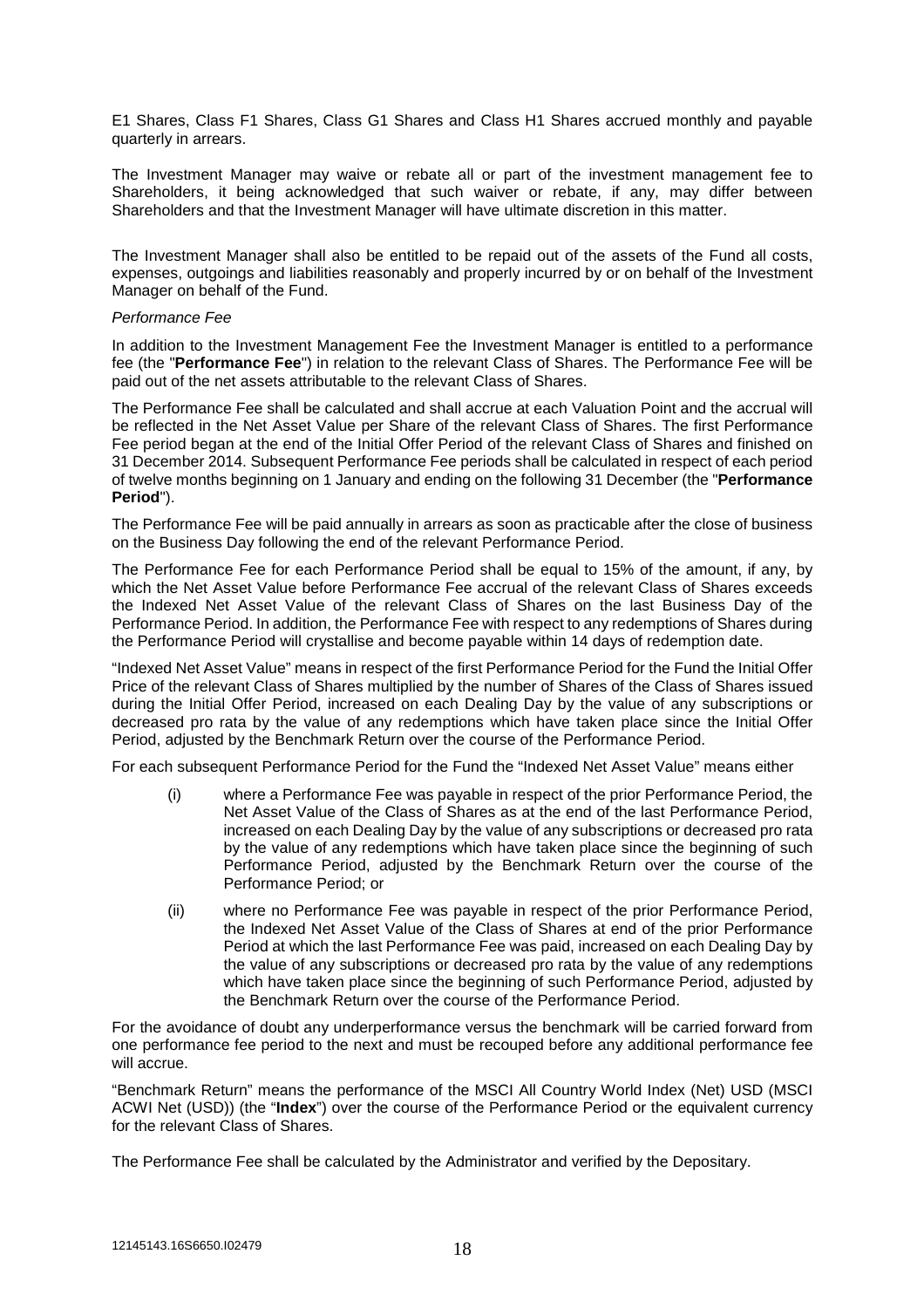E1 Shares, Class F1 Shares, Class G1 Shares and Class H1 Shares accrued monthly and payable quarterly in arrears.

The Investment Manager may waive or rebate all or part of the investment management fee to Shareholders, it being acknowledged that such waiver or rebate, if any, may differ between Shareholders and that the Investment Manager will have ultimate discretion in this matter.

The Investment Manager shall also be entitled to be repaid out of the assets of the Fund all costs, expenses, outgoings and liabilities reasonably and properly incurred by or on behalf of the Investment Manager on behalf of the Fund.

### *Performance Fee*

In addition to the Investment Management Fee the Investment Manager is entitled to a performance fee (the "**Performance Fee**") in relation to the relevant Class of Shares. The Performance Fee will be paid out of the net assets attributable to the relevant Class of Shares.

The Performance Fee shall be calculated and shall accrue at each Valuation Point and the accrual will be reflected in the Net Asset Value per Share of the relevant Class of Shares. The first Performance Fee period began at the end of the Initial Offer Period of the relevant Class of Shares and finished on 31 December 2014. Subsequent Performance Fee periods shall be calculated in respect of each period of twelve months beginning on 1 January and ending on the following 31 December (the "**Performance Period**").

The Performance Fee will be paid annually in arrears as soon as practicable after the close of business on the Business Day following the end of the relevant Performance Period.

The Performance Fee for each Performance Period shall be equal to 15% of the amount, if any, by which the Net Asset Value before Performance Fee accrual of the relevant Class of Shares exceeds the Indexed Net Asset Value of the relevant Class of Shares on the last Business Day of the Performance Period. In addition, the Performance Fee with respect to any redemptions of Shares during the Performance Period will crystallise and become payable within 14 days of redemption date.

"Indexed Net Asset Value" means in respect of the first Performance Period for the Fund the Initial Offer Price of the relevant Class of Shares multiplied by the number of Shares of the Class of Shares issued during the Initial Offer Period, increased on each Dealing Day by the value of any subscriptions or decreased pro rata by the value of any redemptions which have taken place since the Initial Offer Period, adjusted by the Benchmark Return over the course of the Performance Period.

For each subsequent Performance Period for the Fund the "Indexed Net Asset Value" means either

- (i) where a Performance Fee was payable in respect of the prior Performance Period, the Net Asset Value of the Class of Shares as at the end of the last Performance Period, increased on each Dealing Day by the value of any subscriptions or decreased pro rata by the value of any redemptions which have taken place since the beginning of such Performance Period, adjusted by the Benchmark Return over the course of the Performance Period; or
- (ii) where no Performance Fee was payable in respect of the prior Performance Period, the Indexed Net Asset Value of the Class of Shares at end of the prior Performance Period at which the last Performance Fee was paid, increased on each Dealing Day by the value of any subscriptions or decreased pro rata by the value of any redemptions which have taken place since the beginning of such Performance Period, adjusted by the Benchmark Return over the course of the Performance Period.

For the avoidance of doubt any underperformance versus the benchmark will be carried forward from one performance fee period to the next and must be recouped before any additional performance fee will accrue.

"Benchmark Return" means the performance of the MSCI All Country World Index (Net) USD (MSCI ACWI Net (USD)) (the "**Index**") over the course of the Performance Period or the equivalent currency for the relevant Class of Shares.

The Performance Fee shall be calculated by the Administrator and verified by the Depositary.